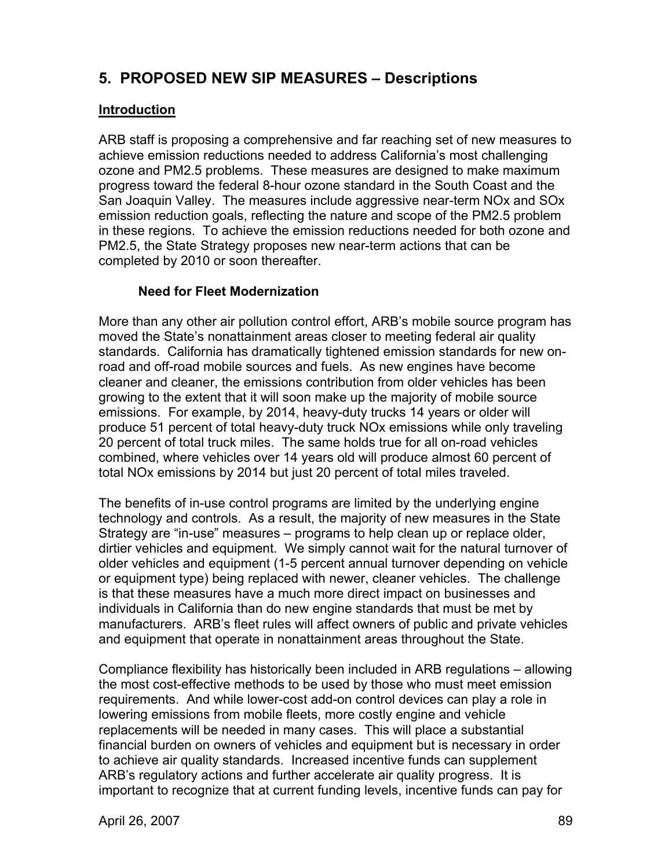# **5. PROPOSED NEW SIP MEASURES – Descriptions**

### **Introduction**

ARB staff is proposing a comprehensive and far reaching set of new measures to achieve emission reductions needed to address California's most challenging ozone and PM2.5 problems. These measures are designed to make maximum progress toward the federal 8-hour ozone standard in the South Coast and the San Joaquin Valley. The measures include aggressive near-term NOx and SOx emission reduction goals, reflecting the nature and scope of the PM2.5 problem in these regions. To achieve the emission reductions needed for both ozone and PM2.5, the State Strategy proposes new near-term actions that can be completed by 2010 or soon thereafter.

### **Need for Fleet Modernization**

More than any other air pollution control effort, ARB's mobile source program has moved the State's nonattainment areas closer to meeting federal air quality standards. California has dramatically tightened emission standards for new onroad and off-road mobile sources and fuels. As new engines have become cleaner and cleaner, the emissions contribution from older vehicles has been growing to the extent that it will soon make up the majority of mobile source emissions. For example, by 2014, heavy-duty trucks 14 years or older will produce 51 percent of total heavy-duty truck NOx emissions while only traveling 20 percent of total truck miles. The same holds true for all on-road vehicles combined, where vehicles over 14 years old will produce almost 60 percent of total NOx emissions by 2014 but just 20 percent of total miles traveled.

The benefits of in-use control programs are limited by the underlying engine technology and controls. As a result, the majority of new measures in the State Strategy are "in-use" measures – programs to help clean up or replace older, dirtier vehicles and equipment. We simply cannot wait for the natural turnover of older vehicles and equipment (1-5 percent annual turnover depending on vehicle or equipment type) being replaced with newer, cleaner vehicles. The challenge is that these measures have a much more direct impact on businesses and individuals in California than do new engine standards that must be met by manufacturers. ARB's fleet rules will affect owners of public and private vehicles and equipment that operate in nonattainment areas throughout the State.

Compliance flexibility has historically been included in ARB regulations – allowing the most cost-effective methods to be used by those who must meet emission requirements. And while lower-cost add-on control devices can play a role in lowering emissions from mobile fleets, more costly engine and vehicle replacements will be needed in many cases. This will place a substantial financial burden on owners of vehicles and equipment but is necessary in order to achieve air quality standards. Increased incentive funds can supplement ARB's regulatory actions and further accelerate air quality progress. It is important to recognize that at current funding levels, incentive funds can pay for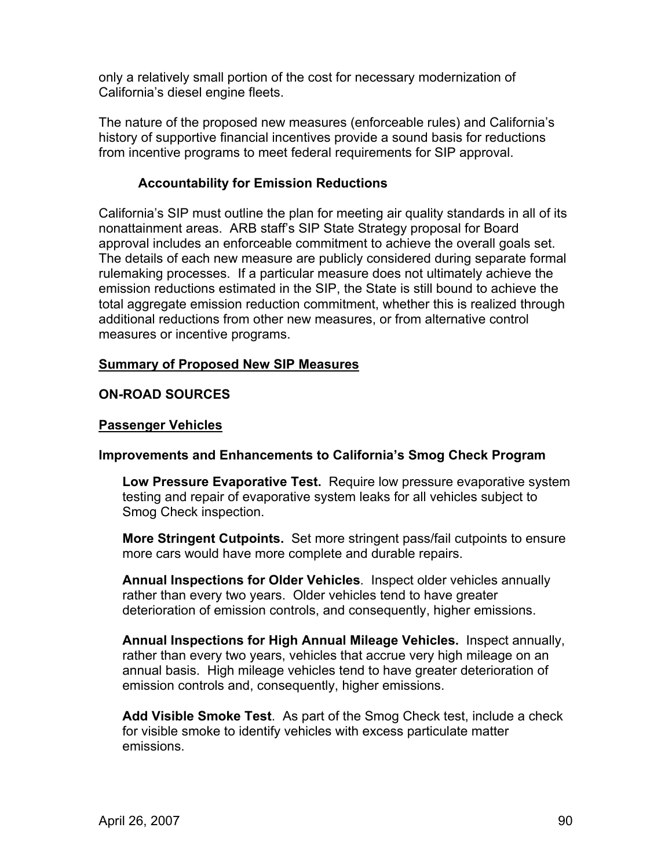only a relatively small portion of the cost for necessary modernization of California's diesel engine fleets.

The nature of the proposed new measures (enforceable rules) and California's history of supportive financial incentives provide a sound basis for reductions from incentive programs to meet federal requirements for SIP approval.

### **Accountability for Emission Reductions**

California's SIP must outline the plan for meeting air quality standards in all of its nonattainment areas. ARB staff's SIP State Strategy proposal for Board approval includes an enforceable commitment to achieve the overall goals set. The details of each new measure are publicly considered during separate formal rulemaking processes. If a particular measure does not ultimately achieve the emission reductions estimated in the SIP, the State is still bound to achieve the total aggregate emission reduction commitment, whether this is realized through additional reductions from other new measures, or from alternative control measures or incentive programs.

### **Summary of Proposed New SIP Measures**

## **ON-ROAD SOURCES**

### **Passenger Vehicles**

### **Improvements and Enhancements to California's Smog Check Program**

 **Low Pressure Evaporative Test.** Require low pressure evaporative system testing and repair of evaporative system leaks for all vehicles subject to Smog Check inspection.

 **More Stringent Cutpoints.** Set more stringent pass/fail cutpoints to ensure more cars would have more complete and durable repairs.

 **Annual Inspections for Older Vehicles**. Inspect older vehicles annually rather than every two years. Older vehicles tend to have greater deterioration of emission controls, and consequently, higher emissions.

 **Annual Inspections for High Annual Mileage Vehicles.** Inspect annually, rather than every two years, vehicles that accrue very high mileage on an annual basis. High mileage vehicles tend to have greater deterioration of emission controls and, consequently, higher emissions.

 **Add Visible Smoke Test**. As part of the Smog Check test, include a check for visible smoke to identify vehicles with excess particulate matter emissions.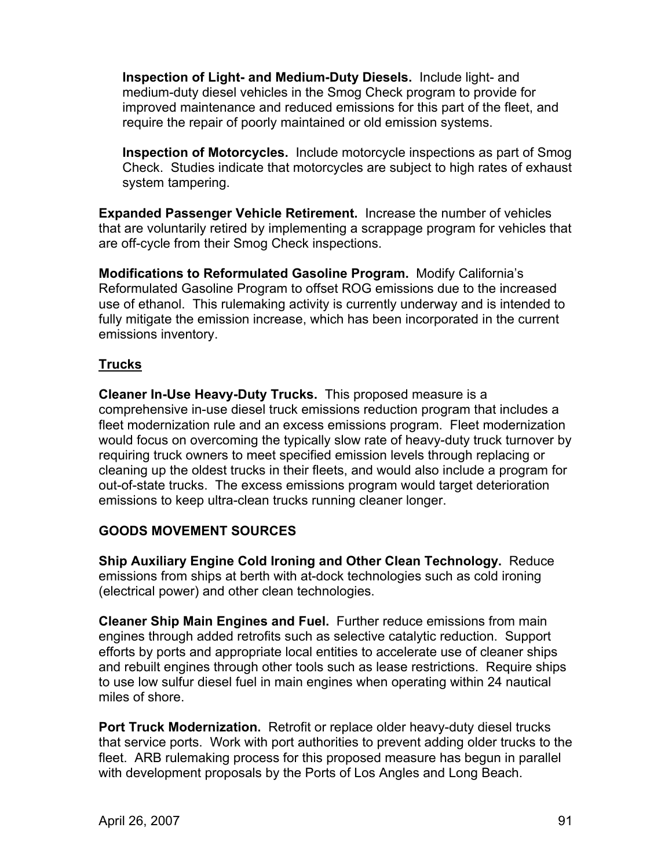**Inspection of Light- and Medium-Duty Diesels.** Include light- and medium-duty diesel vehicles in the Smog Check program to provide for improved maintenance and reduced emissions for this part of the fleet, and require the repair of poorly maintained or old emission systems.

 **Inspection of Motorcycles.** Include motorcycle inspections as part of Smog Check. Studies indicate that motorcycles are subject to high rates of exhaust system tampering.

**Expanded Passenger Vehicle Retirement.** Increase the number of vehicles that are voluntarily retired by implementing a scrappage program for vehicles that are off-cycle from their Smog Check inspections.

**Modifications to Reformulated Gasoline Program.** Modify California's Reformulated Gasoline Program to offset ROG emissions due to the increased use of ethanol. This rulemaking activity is currently underway and is intended to fully mitigate the emission increase, which has been incorporated in the current emissions inventory.

## **Trucks**

**Cleaner In-Use Heavy-Duty Trucks.** This proposed measure is a comprehensive in-use diesel truck emissions reduction program that includes a fleet modernization rule and an excess emissions program. Fleet modernization would focus on overcoming the typically slow rate of heavy-duty truck turnover by requiring truck owners to meet specified emission levels through replacing or cleaning up the oldest trucks in their fleets, and would also include a program for out-of-state trucks. The excess emissions program would target deterioration emissions to keep ultra-clean trucks running cleaner longer.

## **GOODS MOVEMENT SOURCES**

**Ship Auxiliary Engine Cold Ironing and Other Clean Technology.** Reduce emissions from ships at berth with at-dock technologies such as cold ironing (electrical power) and other clean technologies.

**Cleaner Ship Main Engines and Fuel.** Further reduce emissions from main engines through added retrofits such as selective catalytic reduction. Support efforts by ports and appropriate local entities to accelerate use of cleaner ships and rebuilt engines through other tools such as lease restrictions. Require ships to use low sulfur diesel fuel in main engines when operating within 24 nautical miles of shore.

**Port Truck Modernization.** Retrofit or replace older heavy-duty diesel trucks that service ports. Work with port authorities to prevent adding older trucks to the fleet. ARB rulemaking process for this proposed measure has begun in parallel with development proposals by the Ports of Los Angles and Long Beach.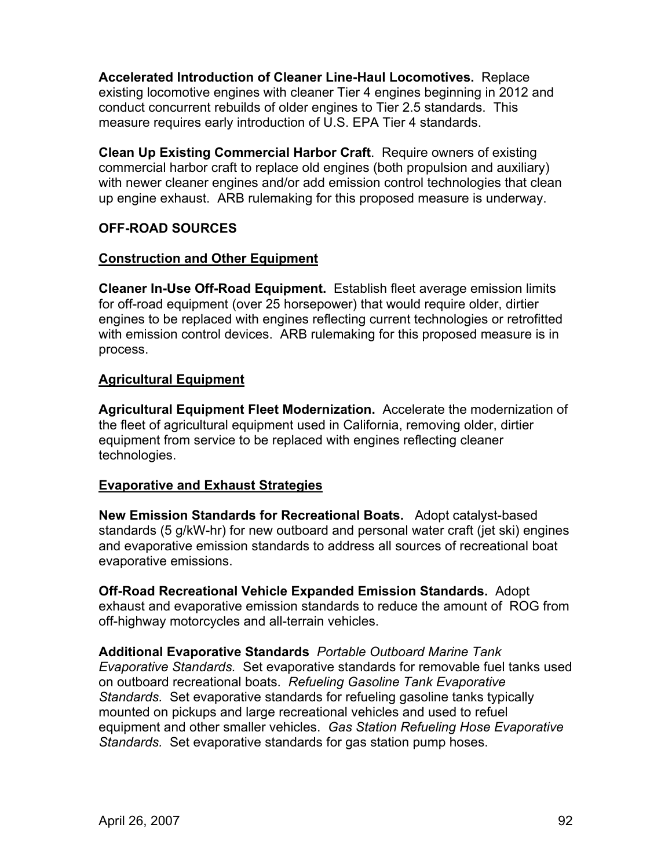**Accelerated Introduction of Cleaner Line-Haul Locomotives.** Replace existing locomotive engines with cleaner Tier 4 engines beginning in 2012 and conduct concurrent rebuilds of older engines to Tier 2.5 standards. This measure requires early introduction of U.S. EPA Tier 4 standards.

**Clean Up Existing Commercial Harbor Craft**. Require owners of existing commercial harbor craft to replace old engines (both propulsion and auxiliary) with newer cleaner engines and/or add emission control technologies that clean up engine exhaust. ARB rulemaking for this proposed measure is underway.

## **OFF-ROAD SOURCES**

#### **Construction and Other Equipment**

**Cleaner In-Use Off-Road Equipment.** Establish fleet average emission limits for off-road equipment (over 25 horsepower) that would require older, dirtier engines to be replaced with engines reflecting current technologies or retrofitted with emission control devices. ARB rulemaking for this proposed measure is in process.

### **Agricultural Equipment**

**Agricultural Equipment Fleet Modernization.** Accelerate the modernization of the fleet of agricultural equipment used in California, removing older, dirtier equipment from service to be replaced with engines reflecting cleaner technologies.

### **Evaporative and Exhaust Strategies**

**New Emission Standards for Recreational Boats.** Adopt catalyst-based standards (5 g/kW-hr) for new outboard and personal water craft (jet ski) engines and evaporative emission standards to address all sources of recreational boat evaporative emissions.

**Off-Road Recreational Vehicle Expanded Emission Standards.** Adopt exhaust and evaporative emission standards to reduce the amount of ROG from off-highway motorcycles and all-terrain vehicles.

**Additional Evaporative Standards** *Portable Outboard Marine Tank Evaporative Standards.* Set evaporative standards for removable fuel tanks used on outboard recreational boats. *Refueling Gasoline Tank Evaporative Standards.* Set evaporative standards for refueling gasoline tanks typically mounted on pickups and large recreational vehicles and used to refuel equipment and other smaller vehicles. *Gas Station Refueling Hose Evaporative Standards.* Set evaporative standards for gas station pump hoses.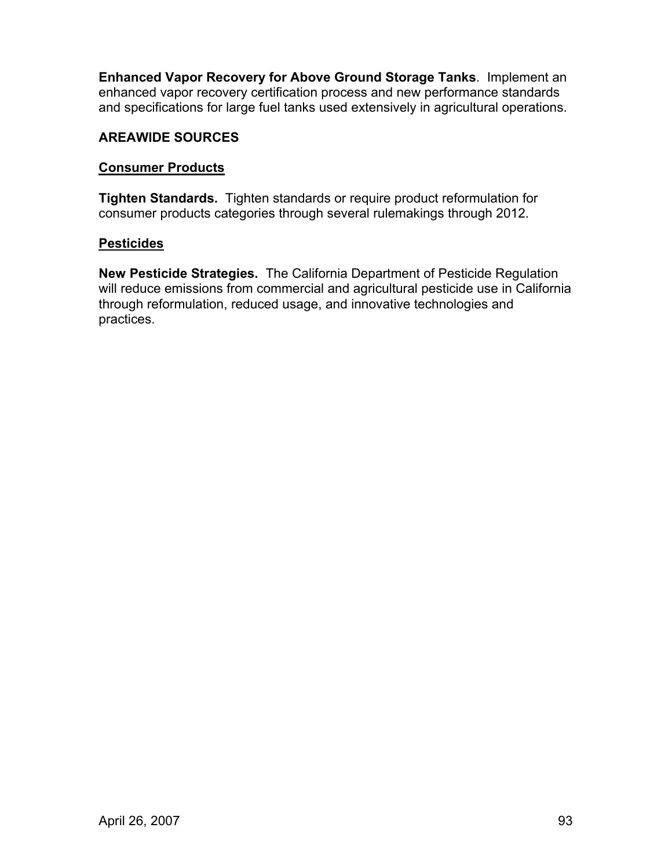**Enhanced Vapor Recovery for Above Ground Storage Tanks**. Implement an enhanced vapor recovery certification process and new performance standards and specifications for large fuel tanks used extensively in agricultural operations.

## **AREAWIDE SOURCES**

### **Consumer Products**

**Tighten Standards.** Tighten standards or require product reformulation for consumer products categories through several rulemakings through 2012.

### **Pesticides**

**New Pesticide Strategies.** The California Department of Pesticide Regulation will reduce emissions from commercial and agricultural pesticide use in California through reformulation, reduced usage, and innovative technologies and practices.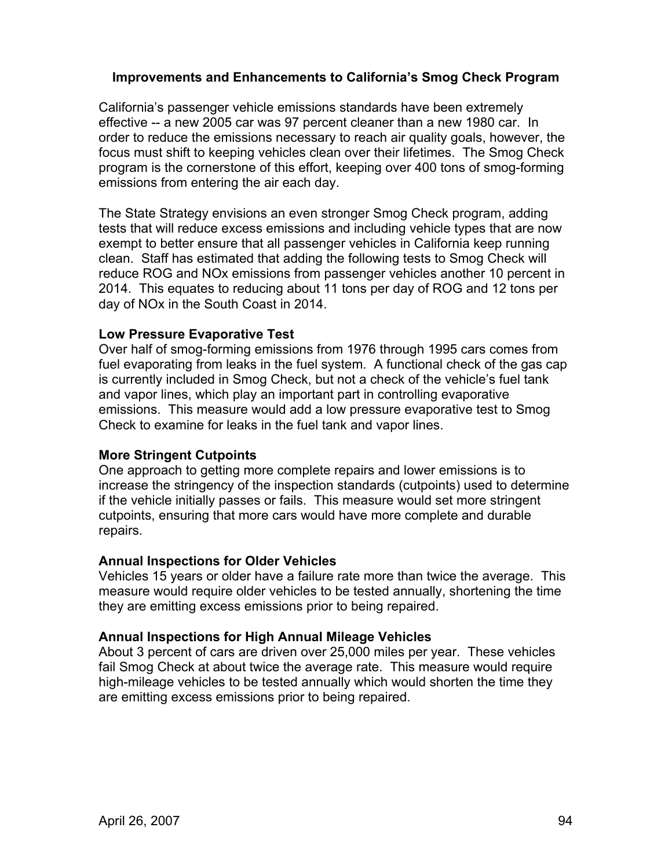### **Improvements and Enhancements to California's Smog Check Program**

California's passenger vehicle emissions standards have been extremely effective -- a new 2005 car was 97 percent cleaner than a new 1980 car. In order to reduce the emissions necessary to reach air quality goals, however, the focus must shift to keeping vehicles clean over their lifetimes. The Smog Check program is the cornerstone of this effort, keeping over 400 tons of smog-forming emissions from entering the air each day.

The State Strategy envisions an even stronger Smog Check program, adding tests that will reduce excess emissions and including vehicle types that are now exempt to better ensure that all passenger vehicles in California keep running clean. Staff has estimated that adding the following tests to Smog Check will reduce ROG and NOx emissions from passenger vehicles another 10 percent in 2014. This equates to reducing about 11 tons per day of ROG and 12 tons per day of NOx in the South Coast in 2014.

### **Low Pressure Evaporative Test**

Over half of smog-forming emissions from 1976 through 1995 cars comes from fuel evaporating from leaks in the fuel system. A functional check of the gas cap is currently included in Smog Check, but not a check of the vehicle's fuel tank and vapor lines, which play an important part in controlling evaporative emissions. This measure would add a low pressure evaporative test to Smog Check to examine for leaks in the fuel tank and vapor lines.

### **More Stringent Cutpoints**

One approach to getting more complete repairs and lower emissions is to increase the stringency of the inspection standards (cutpoints) used to determine if the vehicle initially passes or fails. This measure would set more stringent cutpoints, ensuring that more cars would have more complete and durable repairs.

### **Annual Inspections for Older Vehicles**

Vehicles 15 years or older have a failure rate more than twice the average. This measure would require older vehicles to be tested annually, shortening the time they are emitting excess emissions prior to being repaired.

## **Annual Inspections for High Annual Mileage Vehicles**

About 3 percent of cars are driven over 25,000 miles per year. These vehicles fail Smog Check at about twice the average rate. This measure would require high-mileage vehicles to be tested annually which would shorten the time they are emitting excess emissions prior to being repaired.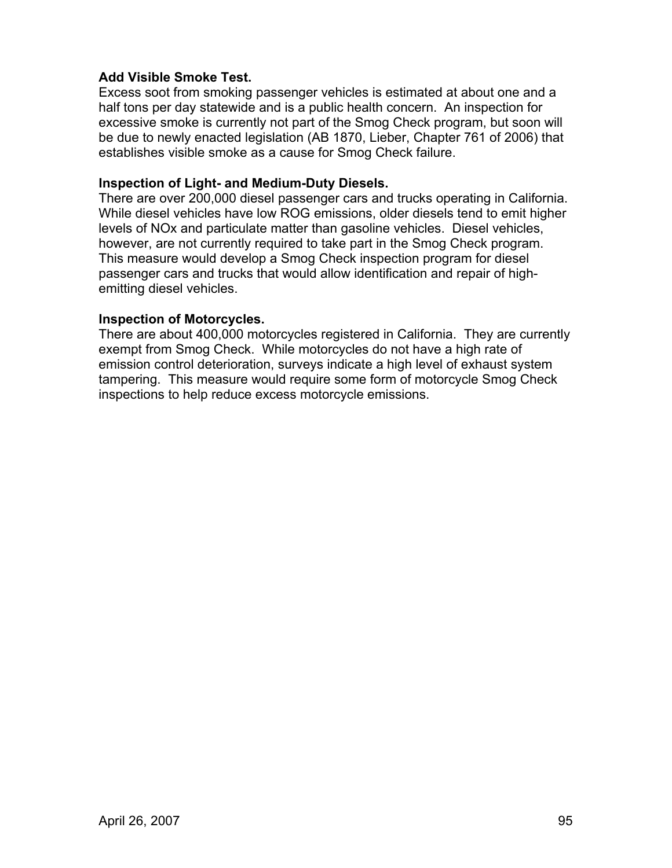### **Add Visible Smoke Test.**

Excess soot from smoking passenger vehicles is estimated at about one and a half tons per day statewide and is a public health concern. An inspection for excessive smoke is currently not part of the Smog Check program, but soon will be due to newly enacted legislation (AB 1870, Lieber, Chapter 761 of 2006) that establishes visible smoke as a cause for Smog Check failure.

### **Inspection of Light- and Medium-Duty Diesels.**

There are over 200,000 diesel passenger cars and trucks operating in California. While diesel vehicles have low ROG emissions, older diesels tend to emit higher levels of NOx and particulate matter than gasoline vehicles. Diesel vehicles, however, are not currently required to take part in the Smog Check program. This measure would develop a Smog Check inspection program for diesel passenger cars and trucks that would allow identification and repair of highemitting diesel vehicles.

#### **Inspection of Motorcycles.**

There are about 400,000 motorcycles registered in California. They are currently exempt from Smog Check. While motorcycles do not have a high rate of emission control deterioration, surveys indicate a high level of exhaust system tampering. This measure would require some form of motorcycle Smog Check inspections to help reduce excess motorcycle emissions.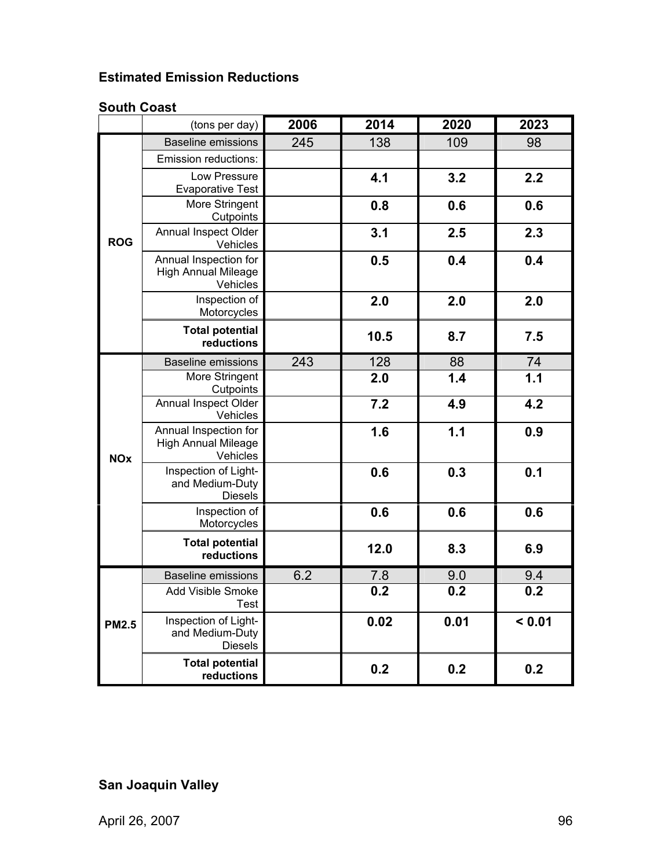# **Estimated Emission Reductions**

## **South Coast**

|              | (tons per day)                                                  | 2006 | 2014 | 2020 | 2023             |
|--------------|-----------------------------------------------------------------|------|------|------|------------------|
|              | <b>Baseline emissions</b>                                       | 245  | 138  | 109  | 98               |
|              | Emission reductions:                                            |      |      |      |                  |
|              | Low Pressure<br><b>Evaporative Test</b>                         |      | 4.1  | 3.2  | 2.2              |
|              | More Stringent<br>Cutpoints                                     |      | 0.8  | 0.6  | 0.6              |
| <b>ROG</b>   | Annual Inspect Older<br>Vehicles                                |      | 3.1  | 2.5  | 2.3              |
|              | Annual Inspection for<br><b>High Annual Mileage</b><br>Vehicles |      | 0.5  | 0.4  | 0.4              |
|              | Inspection of<br>Motorcycles                                    |      | 2.0  | 2.0  | 2.0              |
|              | <b>Total potential</b><br>reductions                            |      | 10.5 | 8.7  | 7.5              |
|              | <b>Baseline emissions</b>                                       | 243  | 128  | 88   | $\frac{74}{1.1}$ |
|              | More Stringent<br>Cutpoints                                     |      | 2.0  | 1.4  |                  |
|              | Annual Inspect Older<br>Vehicles                                |      | 7.2  | 4.9  | 4.2              |
| <b>NOx</b>   | Annual Inspection for<br><b>High Annual Mileage</b><br>Vehicles |      | 1.6  | 1.1  | 0.9              |
|              | Inspection of Light-<br>and Medium-Duty<br><b>Diesels</b>       |      | 0.6  | 0.3  | 0.1              |
|              | Inspection of<br>Motorcycles                                    |      | 0.6  | 0.6  | 0.6              |
|              | <b>Total potential</b><br>reductions                            |      | 12.0 | 8.3  | 6.9              |
|              | <b>Baseline emissions</b>                                       | 6.2  | 7.8  | 9.0  | 9.4              |
|              | Add Visible Smoke<br><b>Test</b>                                |      | 0.2  | 0.2  | 0.2              |
| <b>PM2.5</b> | Inspection of Light-<br>and Medium-Duty<br><b>Diesels</b>       |      | 0.02 | 0.01 | < 0.01           |
|              | <b>Total potential</b><br>reductions                            |      | 0.2  | 0.2  | 0.2              |

# **San Joaquin Valley**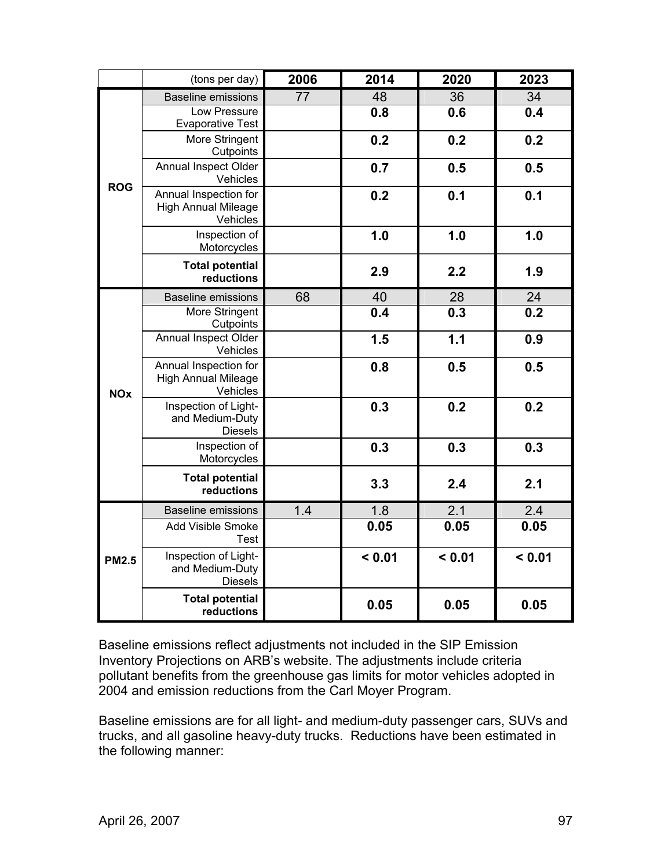|              | (tons per day)                                                  | 2006 | 2014   | 2020   | 2023   |
|--------------|-----------------------------------------------------------------|------|--------|--------|--------|
|              | <b>Baseline emissions</b>                                       | 77   | 48     | 36     | 34     |
|              | <b>Low Pressure</b>                                             |      | 0.8    | 0.6    | 0.4    |
|              | <b>Evaporative Test</b><br>More Stringent<br>Cutpoints          |      | 0.2    | 0.2    | 0.2    |
| <b>ROG</b>   | Annual Inspect Older<br>Vehicles                                |      | 0.7    | 0.5    | 0.5    |
|              | Annual Inspection for<br><b>High Annual Mileage</b><br>Vehicles |      | 0.2    | 0.1    | 0.1    |
|              | Inspection of<br>Motorcycles                                    |      | 1.0    | 1.0    | 1.0    |
|              | <b>Total potential</b><br>reductions                            |      | 2.9    | 2.2    | 1.9    |
|              | <b>Baseline emissions</b>                                       | 68   | 40     | 28     | 24     |
|              | More Stringent<br>Cutpoints                                     |      | 0.4    | 0.3    | 0.2    |
|              | Annual Inspect Older<br>Vehicles                                |      | 1.5    | 1.1    | 0.9    |
| <b>NOx</b>   | Annual Inspection for<br><b>High Annual Mileage</b><br>Vehicles |      | 0.8    | 0.5    | 0.5    |
|              | Inspection of Light-<br>and Medium-Duty<br><b>Diesels</b>       |      | 0.3    | 0.2    | 0.2    |
|              | Inspection of<br>Motorcycles                                    |      | 0.3    | 0.3    | 0.3    |
|              | <b>Total potential</b><br>reductions                            |      | 3.3    | 2.4    | 2.1    |
|              | <b>Baseline emissions</b>                                       | 1.4  | 1.8    | 2.1    | 2.4    |
|              | Add Visible Smoke<br>Test                                       |      | 0.05   | 0.05   | 0.05   |
| <b>PM2.5</b> | Inspection of Light-<br>and Medium-Duty<br><b>Diesels</b>       |      | < 0.01 | < 0.01 | < 0.01 |
|              | <b>Total potential</b><br>reductions                            |      | 0.05   | 0.05   | 0.05   |

Baseline emissions reflect adjustments not included in the SIP Emission Inventory Projections on ARB's website. The adjustments include criteria pollutant benefits from the greenhouse gas limits for motor vehicles adopted in 2004 and emission reductions from the Carl Moyer Program.

Baseline emissions are for all light- and medium-duty passenger cars, SUVs and trucks, and all gasoline heavy-duty trucks. Reductions have been estimated in the following manner: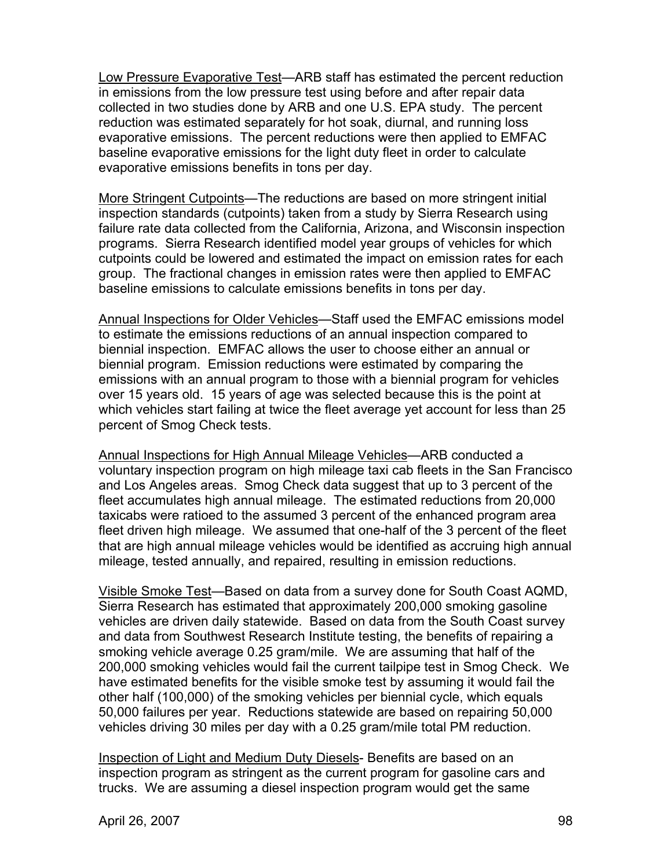Low Pressure Evaporative Test—ARB staff has estimated the percent reduction in emissions from the low pressure test using before and after repair data collected in two studies done by ARB and one U.S. EPA study. The percent reduction was estimated separately for hot soak, diurnal, and running loss evaporative emissions. The percent reductions were then applied to EMFAC baseline evaporative emissions for the light duty fleet in order to calculate evaporative emissions benefits in tons per day.

More Stringent Cutpoints—The reductions are based on more stringent initial inspection standards (cutpoints) taken from a study by Sierra Research using failure rate data collected from the California, Arizona, and Wisconsin inspection programs. Sierra Research identified model year groups of vehicles for which cutpoints could be lowered and estimated the impact on emission rates for each group. The fractional changes in emission rates were then applied to EMFAC baseline emissions to calculate emissions benefits in tons per day.

Annual Inspections for Older Vehicles—Staff used the EMFAC emissions model to estimate the emissions reductions of an annual inspection compared to biennial inspection. EMFAC allows the user to choose either an annual or biennial program. Emission reductions were estimated by comparing the emissions with an annual program to those with a biennial program for vehicles over 15 years old. 15 years of age was selected because this is the point at which vehicles start failing at twice the fleet average yet account for less than 25 percent of Smog Check tests.

Annual Inspections for High Annual Mileage Vehicles—ARB conducted a voluntary inspection program on high mileage taxi cab fleets in the San Francisco and Los Angeles areas. Smog Check data suggest that up to 3 percent of the fleet accumulates high annual mileage. The estimated reductions from 20,000 taxicabs were ratioed to the assumed 3 percent of the enhanced program area fleet driven high mileage. We assumed that one-half of the 3 percent of the fleet that are high annual mileage vehicles would be identified as accruing high annual mileage, tested annually, and repaired, resulting in emission reductions.

Visible Smoke Test—Based on data from a survey done for South Coast AQMD, Sierra Research has estimated that approximately 200,000 smoking gasoline vehicles are driven daily statewide. Based on data from the South Coast survey and data from Southwest Research Institute testing, the benefits of repairing a smoking vehicle average 0.25 gram/mile. We are assuming that half of the 200,000 smoking vehicles would fail the current tailpipe test in Smog Check. We have estimated benefits for the visible smoke test by assuming it would fail the other half (100,000) of the smoking vehicles per biennial cycle, which equals 50,000 failures per year. Reductions statewide are based on repairing 50,000 vehicles driving 30 miles per day with a 0.25 gram/mile total PM reduction.

Inspection of Light and Medium Duty Diesels- Benefits are based on an inspection program as stringent as the current program for gasoline cars and trucks. We are assuming a diesel inspection program would get the same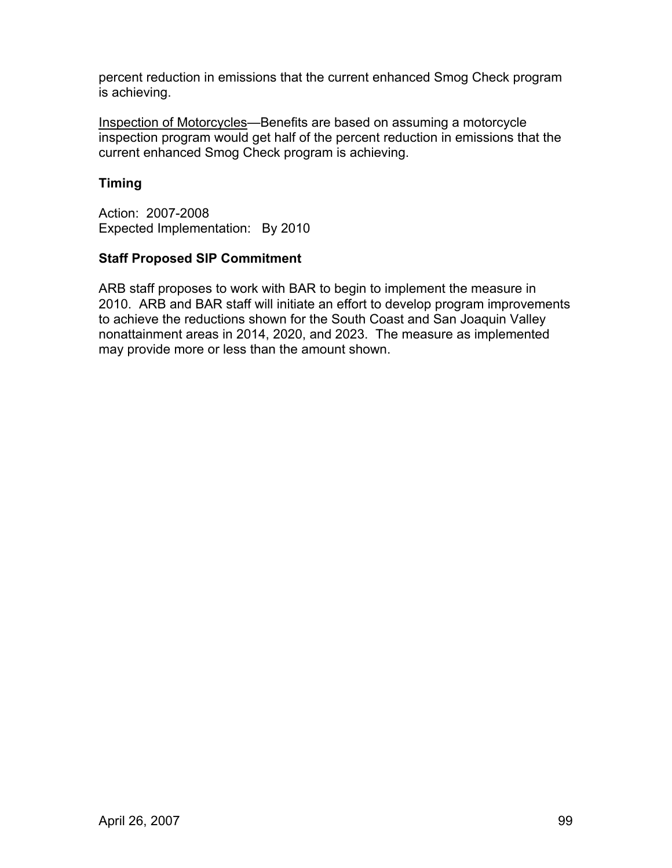percent reduction in emissions that the current enhanced Smog Check program is achieving.

Inspection of Motorcycles—Benefits are based on assuming a motorcycle inspection program would get half of the percent reduction in emissions that the current enhanced Smog Check program is achieving.

## **Timing**

Action: 2007-2008 Expected Implementation: By 2010

## **Staff Proposed SIP Commitment**

ARB staff proposes to work with BAR to begin to implement the measure in 2010. ARB and BAR staff will initiate an effort to develop program improvements to achieve the reductions shown for the South Coast and San Joaquin Valley nonattainment areas in 2014, 2020, and 2023. The measure as implemented may provide more or less than the amount shown.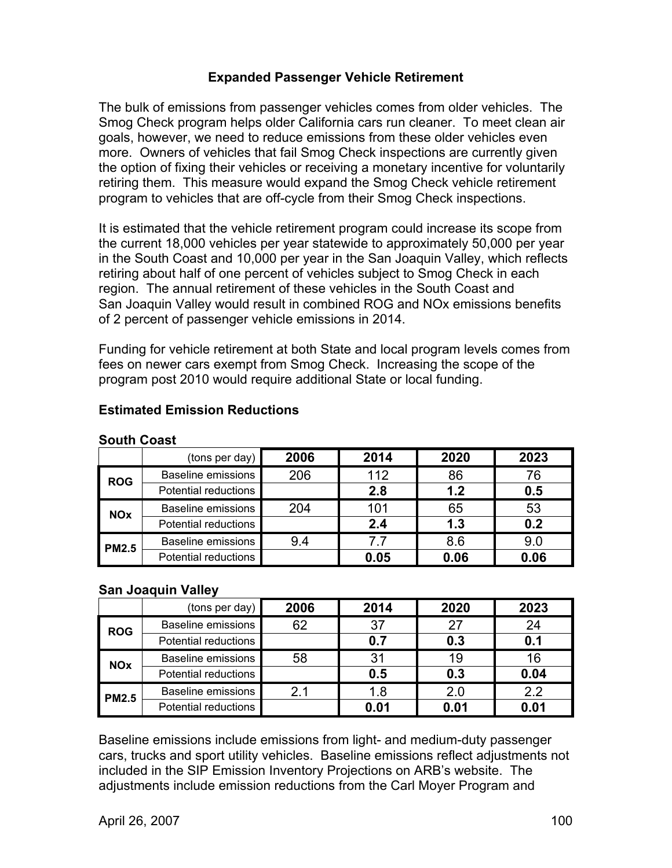## **Expanded Passenger Vehicle Retirement**

The bulk of emissions from passenger vehicles comes from older vehicles. The Smog Check program helps older California cars run cleaner. To meet clean air goals, however, we need to reduce emissions from these older vehicles even more. Owners of vehicles that fail Smog Check inspections are currently given the option of fixing their vehicles or receiving a monetary incentive for voluntarily retiring them. This measure would expand the Smog Check vehicle retirement program to vehicles that are off-cycle from their Smog Check inspections.

It is estimated that the vehicle retirement program could increase its scope from the current 18,000 vehicles per year statewide to approximately 50,000 per year in the South Coast and 10,000 per year in the San Joaquin Valley, which reflects retiring about half of one percent of vehicles subject to Smog Check in each region. The annual retirement of these vehicles in the South Coast and San Joaquin Valley would result in combined ROG and NOx emissions benefits of 2 percent of passenger vehicle emissions in 2014.

Funding for vehicle retirement at both State and local program levels comes from fees on newer cars exempt from Smog Check. Increasing the scope of the program post 2010 would require additional State or local funding.

|              | (tons per day)            | 2006 | 2014 | 2020 | 2023 |
|--------------|---------------------------|------|------|------|------|
| <b>ROG</b>   | <b>Baseline emissions</b> | 206  | 112  | 86   | 76   |
|              | Potential reductions      |      | 2.8  | 1.2  | 0.5  |
| <b>NOx</b>   | <b>Baseline emissions</b> | 204  | 101  | 65   | 53   |
|              | Potential reductions      |      | 2.4  | 1.3  | 0.2  |
| <b>PM2.5</b> | <b>Baseline emissions</b> | 9.4  | 7.7  | 8.6  | 9.0  |
|              | Potential reductions      |      | 0.05 | 0.06 | 0.06 |

### **Estimated Emission Reductions**

### **South Coast**

### **San Joaquin Valley**

|              | (tons per day)            | 2006 | 2014 | 2020 | 2023 |
|--------------|---------------------------|------|------|------|------|
| <b>ROG</b>   | <b>Baseline emissions</b> | 62   | 37   | 27   | 24   |
|              | Potential reductions      |      | 0.7  | 0.3  | 0.1  |
| <b>NOx</b>   | <b>Baseline emissions</b> | 58   | 31   | 19   | 16   |
|              | Potential reductions      |      | 0.5  | 0.3  | 0.04 |
| <b>PM2.5</b> | <b>Baseline emissions</b> | 21   | 1.8  | 2.0  | 2.2  |
|              | Potential reductions      |      | 0.01 | 0.01 | 0.01 |

Baseline emissions include emissions from light- and medium-duty passenger cars, trucks and sport utility vehicles. Baseline emissions reflect adjustments not included in the SIP Emission Inventory Projections on ARB's website. The adjustments include emission reductions from the Carl Moyer Program and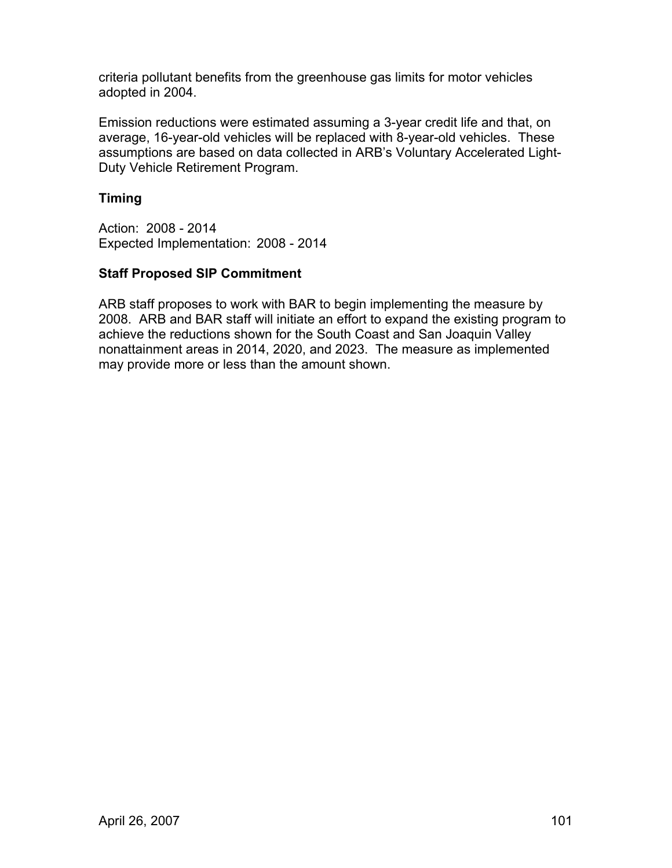criteria pollutant benefits from the greenhouse gas limits for motor vehicles adopted in 2004.

Emission reductions were estimated assuming a 3-year credit life and that, on average, 16-year-old vehicles will be replaced with 8-year-old vehicles. These assumptions are based on data collected in ARB's Voluntary Accelerated Light-Duty Vehicle Retirement Program.

## **Timing**

Action: 2008 - 2014 Expected Implementation: 2008 - 2014

## **Staff Proposed SIP Commitment**

ARB staff proposes to work with BAR to begin implementing the measure by 2008. ARB and BAR staff will initiate an effort to expand the existing program to achieve the reductions shown for the South Coast and San Joaquin Valley nonattainment areas in 2014, 2020, and 2023. The measure as implemented may provide more or less than the amount shown.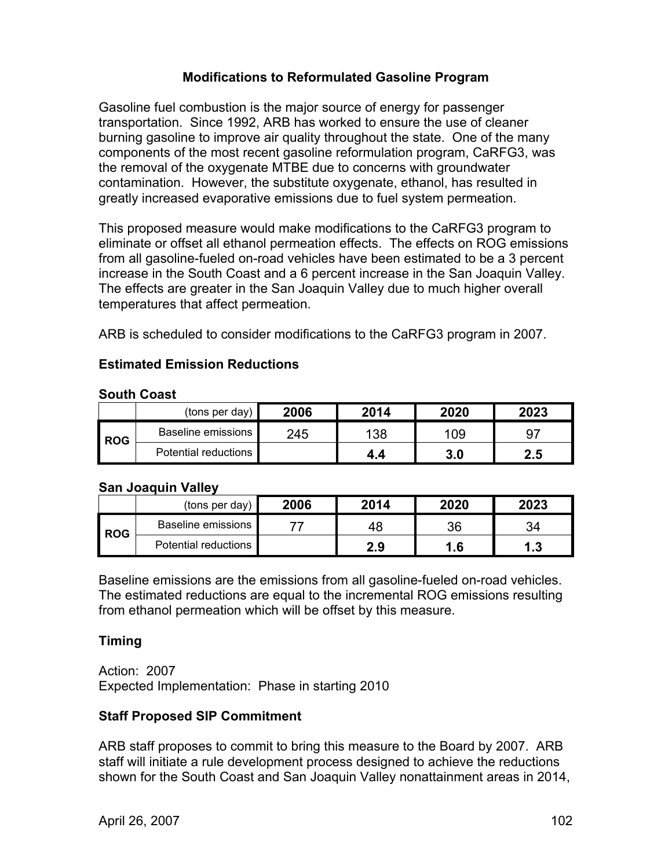### **Modifications to Reformulated Gasoline Program**

Gasoline fuel combustion is the major source of energy for passenger transportation. Since 1992, ARB has worked to ensure the use of cleaner burning gasoline to improve air quality throughout the state. One of the many components of the most recent gasoline reformulation program, CaRFG3, was the removal of the oxygenate MTBE due to concerns with groundwater contamination. However, the substitute oxygenate, ethanol, has resulted in greatly increased evaporative emissions due to fuel system permeation.

This proposed measure would make modifications to the CaRFG3 program to eliminate or offset all ethanol permeation effects. The effects on ROG emissions from all gasoline-fueled on-road vehicles have been estimated to be a 3 percent increase in the South Coast and a 6 percent increase in the San Joaquin Valley. The effects are greater in the San Joaquin Valley due to much higher overall temperatures that affect permeation.

ARB is scheduled to consider modifications to the CaRFG3 program in 2007.

#### **Estimated Emission Reductions**

| <b>South Coast</b> |  |
|--------------------|--|
|                    |  |

|            | (tons per day)         | 2006 | 2014 | 2020 | 2023 |
|------------|------------------------|------|------|------|------|
| <b>ROG</b> | Baseline emissions I   | 245  | 138  | 109  | -97  |
|            | Potential reductions I |      | 4.4  | 3.0  | 2.5  |

#### **San Joaquin Valley**

|            | (tons per day)         | 2006 | 2014 | 2020 | 2023     |
|------------|------------------------|------|------|------|----------|
| <b>ROG</b> | Baseline emissions I   |      | 48   | 36   | 34       |
|            | Potential reductions I |      | 2.9  | 1.6  | -2<br>4. |

Baseline emissions are the emissions from all gasoline-fueled on-road vehicles. The estimated reductions are equal to the incremental ROG emissions resulting from ethanol permeation which will be offset by this measure.

### **Timing**

Action: 2007 Expected Implementation: Phase in starting 2010

### **Staff Proposed SIP Commitment**

ARB staff proposes to commit to bring this measure to the Board by 2007. ARB staff will initiate a rule development process designed to achieve the reductions shown for the South Coast and San Joaquin Valley nonattainment areas in 2014,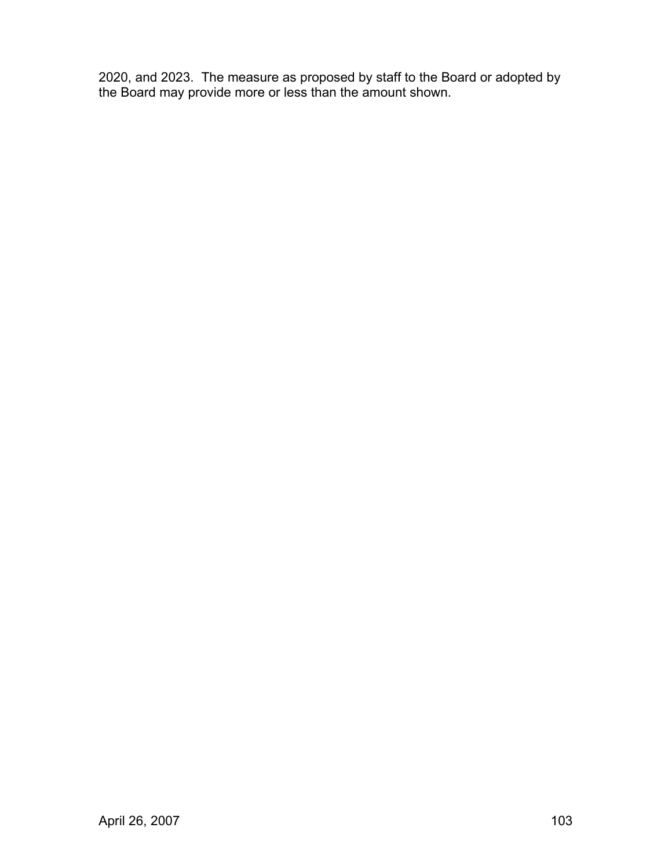2020, and 2023. The measure as proposed by staff to the Board or adopted by the Board may provide more or less than the amount shown.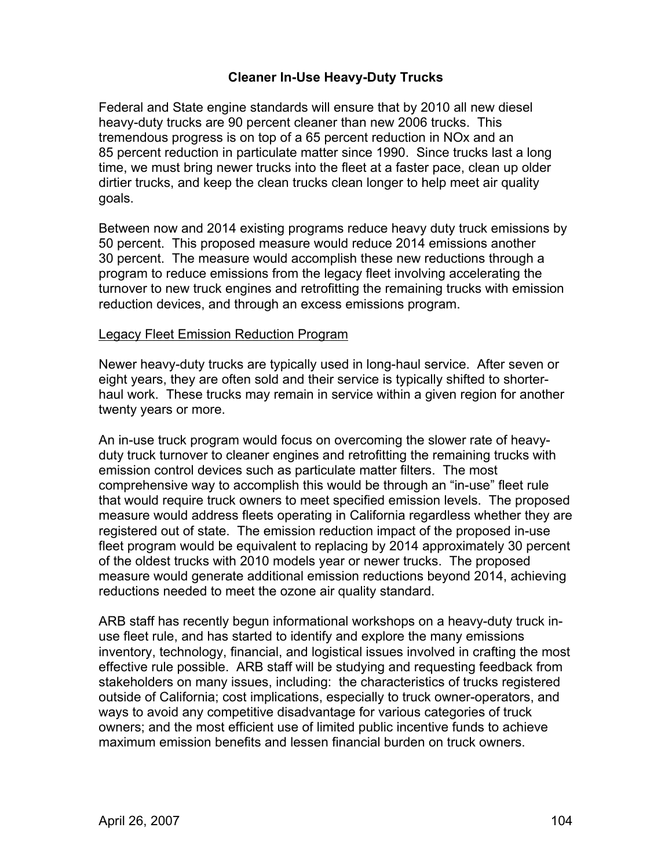## **Cleaner In-Use Heavy-Duty Trucks**

Federal and State engine standards will ensure that by 2010 all new diesel heavy-duty trucks are 90 percent cleaner than new 2006 trucks. This tremendous progress is on top of a 65 percent reduction in NOx and an 85 percent reduction in particulate matter since 1990. Since trucks last a long time, we must bring newer trucks into the fleet at a faster pace, clean up older dirtier trucks, and keep the clean trucks clean longer to help meet air quality goals.

Between now and 2014 existing programs reduce heavy duty truck emissions by 50 percent. This proposed measure would reduce 2014 emissions another 30 percent. The measure would accomplish these new reductions through a program to reduce emissions from the legacy fleet involving accelerating the turnover to new truck engines and retrofitting the remaining trucks with emission reduction devices, and through an excess emissions program.

#### Legacy Fleet Emission Reduction Program

Newer heavy-duty trucks are typically used in long-haul service. After seven or eight years, they are often sold and their service is typically shifted to shorterhaul work. These trucks may remain in service within a given region for another twenty years or more.

An in-use truck program would focus on overcoming the slower rate of heavyduty truck turnover to cleaner engines and retrofitting the remaining trucks with emission control devices such as particulate matter filters. The most comprehensive way to accomplish this would be through an "in-use" fleet rule that would require truck owners to meet specified emission levels. The proposed measure would address fleets operating in California regardless whether they are registered out of state. The emission reduction impact of the proposed in-use fleet program would be equivalent to replacing by 2014 approximately 30 percent of the oldest trucks with 2010 models year or newer trucks. The proposed measure would generate additional emission reductions beyond 2014, achieving reductions needed to meet the ozone air quality standard.

ARB staff has recently begun informational workshops on a heavy-duty truck inuse fleet rule, and has started to identify and explore the many emissions inventory, technology, financial, and logistical issues involved in crafting the most effective rule possible. ARB staff will be studying and requesting feedback from stakeholders on many issues, including: the characteristics of trucks registered outside of California; cost implications, especially to truck owner-operators, and ways to avoid any competitive disadvantage for various categories of truck owners; and the most efficient use of limited public incentive funds to achieve maximum emission benefits and lessen financial burden on truck owners.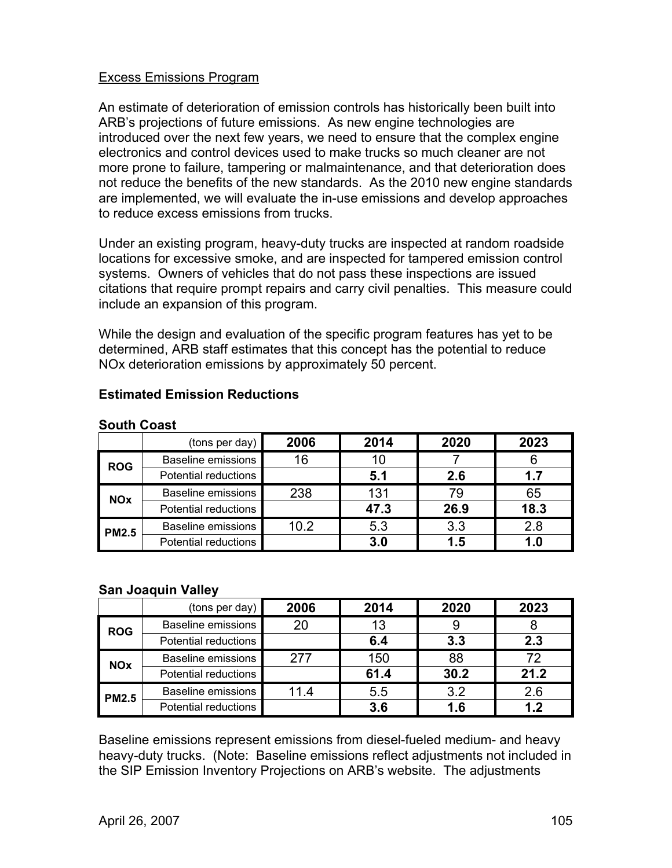## Excess Emissions Program

An estimate of deterioration of emission controls has historically been built into ARB's projections of future emissions. As new engine technologies are introduced over the next few years, we need to ensure that the complex engine electronics and control devices used to make trucks so much cleaner are not more prone to failure, tampering or malmaintenance, and that deterioration does not reduce the benefits of the new standards. As the 2010 new engine standards are implemented, we will evaluate the in-use emissions and develop approaches to reduce excess emissions from trucks.

Under an existing program, heavy-duty trucks are inspected at random roadside locations for excessive smoke, and are inspected for tampered emission control systems. Owners of vehicles that do not pass these inspections are issued citations that require prompt repairs and carry civil penalties. This measure could include an expansion of this program.

While the design and evaluation of the specific program features has yet to be determined, ARB staff estimates that this concept has the potential to reduce NOx deterioration emissions by approximately 50 percent.

|              | (tons per day)            | 2006 | 2014 | 2020 | 2023 |
|--------------|---------------------------|------|------|------|------|
| <b>ROG</b>   | <b>Baseline emissions</b> | 16   | 10   |      |      |
|              | Potential reductions      |      | 5.1  | 2.6  | 1.7  |
| <b>NOx</b>   | <b>Baseline emissions</b> | 238  | 131  | 79   | 65   |
|              | Potential reductions      |      | 47.3 | 26.9 | 18.3 |
| <b>PM2.5</b> | <b>Baseline emissions</b> | 10.2 | 5.3  | 3.3  | 2.8  |
|              | Potential reductions      |      | 3.0  | 1.5  | 1.0  |

### **Estimated Emission Reductions**

#### **San Joaquin Valley**

**South Coast** 

|              | (tons per day) $ $        | 2006 | 2014 | 2020 | 2023 |
|--------------|---------------------------|------|------|------|------|
| <b>ROG</b>   | <b>Baseline emissions</b> | 20   | 13   |      |      |
|              | Potential reductions      |      | 6.4  | 3.3  | 2.3  |
| <b>NOx</b>   | <b>Baseline emissions</b> | 277  | 150  | 88   | 72   |
|              | Potential reductions      |      | 61.4 | 30.2 | 21.2 |
| <b>PM2.5</b> | <b>Baseline emissions</b> | 11.4 | 5.5  | 3.2  | 2.6  |
|              | Potential reductions      |      | 3.6  | 1.6  | 1.2  |

Baseline emissions represent emissions from diesel-fueled medium- and heavy heavy-duty trucks. (Note: Baseline emissions reflect adjustments not included in the SIP Emission Inventory Projections on ARB's website. The adjustments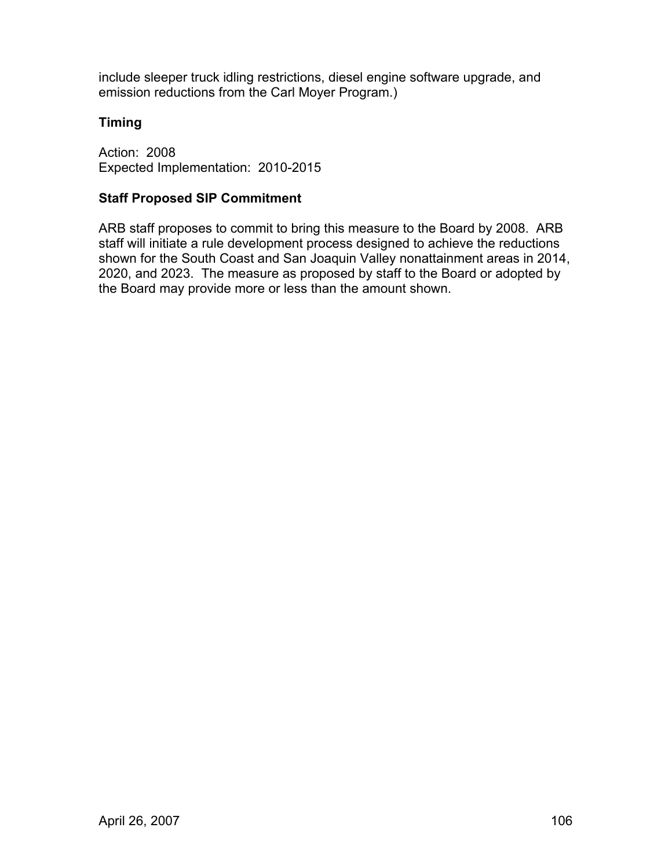include sleeper truck idling restrictions, diesel engine software upgrade, and emission reductions from the Carl Moyer Program.)

## **Timing**

Action: 2008 Expected Implementation: 2010-2015

## **Staff Proposed SIP Commitment**

ARB staff proposes to commit to bring this measure to the Board by 2008. ARB staff will initiate a rule development process designed to achieve the reductions shown for the South Coast and San Joaquin Valley nonattainment areas in 2014, 2020, and 2023. The measure as proposed by staff to the Board or adopted by the Board may provide more or less than the amount shown.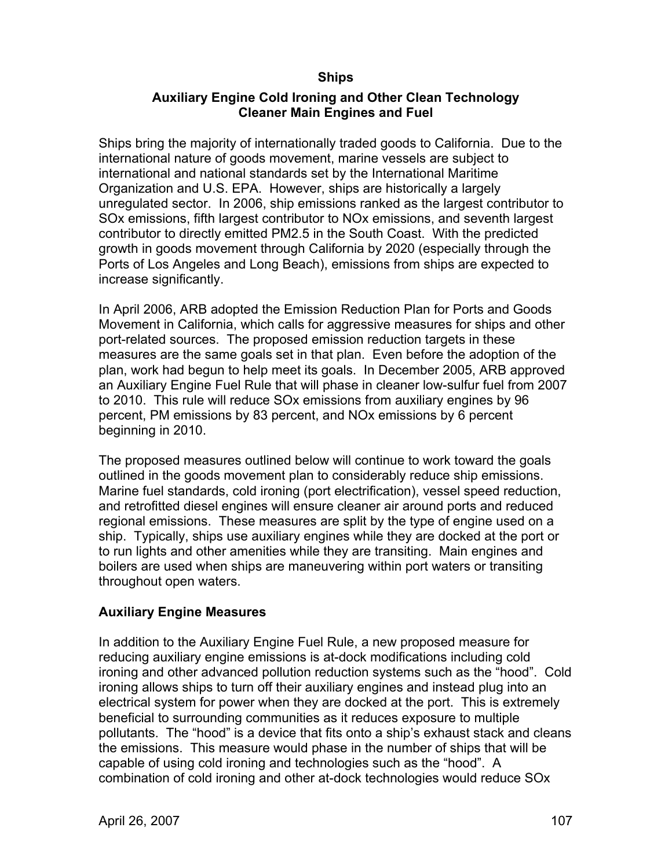## **Ships**

## **Auxiliary Engine Cold Ironing and Other Clean Technology Cleaner Main Engines and Fuel**

Ships bring the majority of internationally traded goods to California. Due to the international nature of goods movement, marine vessels are subject to international and national standards set by the International Maritime Organization and U.S. EPA. However, ships are historically a largely unregulated sector. In 2006, ship emissions ranked as the largest contributor to SOx emissions, fifth largest contributor to NOx emissions, and seventh largest contributor to directly emitted PM2.5 in the South Coast. With the predicted growth in goods movement through California by 2020 (especially through the Ports of Los Angeles and Long Beach), emissions from ships are expected to increase significantly.

In April 2006, ARB adopted the Emission Reduction Plan for Ports and Goods Movement in California, which calls for aggressive measures for ships and other port-related sources. The proposed emission reduction targets in these measures are the same goals set in that plan. Even before the adoption of the plan, work had begun to help meet its goals. In December 2005, ARB approved an Auxiliary Engine Fuel Rule that will phase in cleaner low-sulfur fuel from 2007 to 2010. This rule will reduce SOx emissions from auxiliary engines by 96 percent, PM emissions by 83 percent, and NOx emissions by 6 percent beginning in 2010.

The proposed measures outlined below will continue to work toward the goals outlined in the goods movement plan to considerably reduce ship emissions. Marine fuel standards, cold ironing (port electrification), vessel speed reduction, and retrofitted diesel engines will ensure cleaner air around ports and reduced regional emissions. These measures are split by the type of engine used on a ship. Typically, ships use auxiliary engines while they are docked at the port or to run lights and other amenities while they are transiting. Main engines and boilers are used when ships are maneuvering within port waters or transiting throughout open waters.

## **Auxiliary Engine Measures**

In addition to the Auxiliary Engine Fuel Rule, a new proposed measure for reducing auxiliary engine emissions is at-dock modifications including cold ironing and other advanced pollution reduction systems such as the "hood". Cold ironing allows ships to turn off their auxiliary engines and instead plug into an electrical system for power when they are docked at the port. This is extremely beneficial to surrounding communities as it reduces exposure to multiple pollutants. The "hood" is a device that fits onto a ship's exhaust stack and cleans the emissions. This measure would phase in the number of ships that will be capable of using cold ironing and technologies such as the "hood". A combination of cold ironing and other at-dock technologies would reduce SOx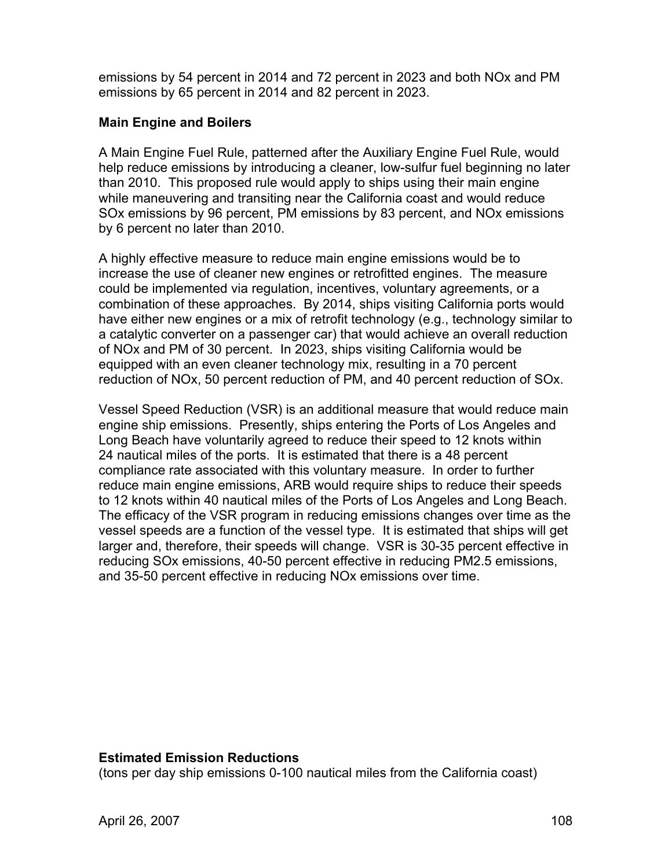emissions by 54 percent in 2014 and 72 percent in 2023 and both NOx and PM emissions by 65 percent in 2014 and 82 percent in 2023.

## **Main Engine and Boilers**

A Main Engine Fuel Rule, patterned after the Auxiliary Engine Fuel Rule, would help reduce emissions by introducing a cleaner, low-sulfur fuel beginning no later than 2010. This proposed rule would apply to ships using their main engine while maneuvering and transiting near the California coast and would reduce SOx emissions by 96 percent, PM emissions by 83 percent, and NOx emissions by 6 percent no later than 2010.

A highly effective measure to reduce main engine emissions would be to increase the use of cleaner new engines or retrofitted engines. The measure could be implemented via regulation, incentives, voluntary agreements, or a combination of these approaches. By 2014, ships visiting California ports would have either new engines or a mix of retrofit technology (e.g., technology similar to a catalytic converter on a passenger car) that would achieve an overall reduction of NOx and PM of 30 percent. In 2023, ships visiting California would be equipped with an even cleaner technology mix, resulting in a 70 percent reduction of NOx, 50 percent reduction of PM, and 40 percent reduction of SOx.

Vessel Speed Reduction (VSR) is an additional measure that would reduce main engine ship emissions. Presently, ships entering the Ports of Los Angeles and Long Beach have voluntarily agreed to reduce their speed to 12 knots within 24 nautical miles of the ports. It is estimated that there is a 48 percent compliance rate associated with this voluntary measure. In order to further reduce main engine emissions, ARB would require ships to reduce their speeds to 12 knots within 40 nautical miles of the Ports of Los Angeles and Long Beach. The efficacy of the VSR program in reducing emissions changes over time as the vessel speeds are a function of the vessel type. It is estimated that ships will get larger and, therefore, their speeds will change. VSR is 30-35 percent effective in reducing SOx emissions, 40-50 percent effective in reducing PM2.5 emissions, and 35-50 percent effective in reducing NOx emissions over time.

### **Estimated Emission Reductions**

(tons per day ship emissions 0-100 nautical miles from the California coast)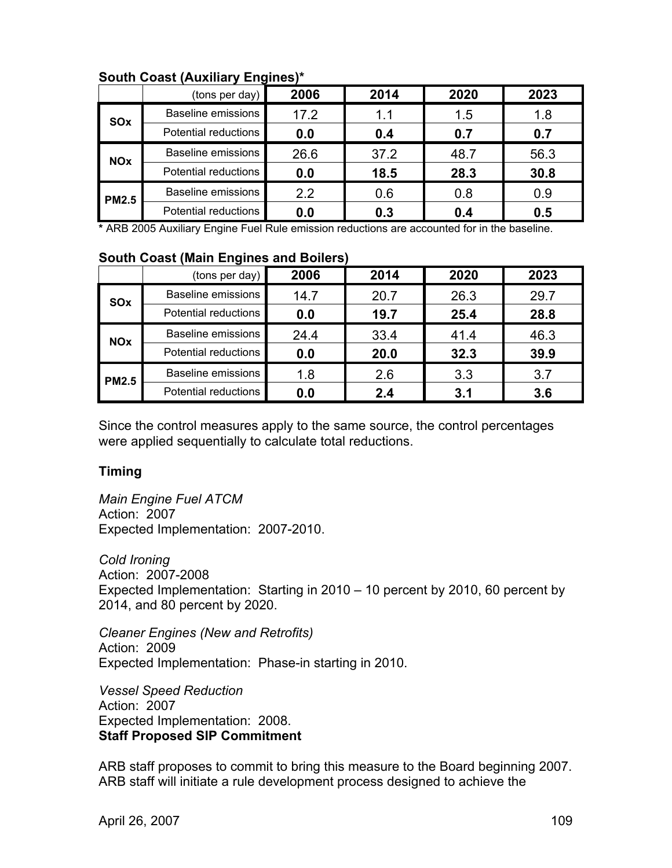|              | (tons per day) $ $        | 2006 | 2014 | 2020 | 2023 |
|--------------|---------------------------|------|------|------|------|
| SOx          | Baseline emissions        | 17.2 | 1.1  | 1.5  | 1.8  |
|              | Potential reductions      | 0.0  | 0.4  | 0.7  | 0.7  |
| <b>NOx</b>   | Baseline emissions        | 26.6 | 37.2 | 48.7 | 56.3 |
|              | Potential reductions      | 0.0  | 18.5 | 28.3 | 30.8 |
| <b>PM2.5</b> | <b>Baseline emissions</b> | 2.2  | 0.6  | 0.8  | 0.9  |
|              | Potential reductions      | 0.0  | 0.3  | 0.4  | 0.5  |

### **South Coast (Auxiliary Engines)\***

**\*** ARB 2005 Auxiliary Engine Fuel Rule emission reductions are accounted for in the baseline.

#### **South Coast (Main Engines and Boilers)**

|              | (hons per day)            | 2006 | 2014 | 2020 | 2023 |
|--------------|---------------------------|------|------|------|------|
| <b>SOx</b>   | Baseline emissions        | 14.7 | 20.7 | 26.3 | 29.7 |
|              | Potential reductions      | 0.0  | 19.7 | 25.4 | 28.8 |
| <b>NOx</b>   | <b>Baseline emissions</b> | 24.4 | 33.4 | 41.4 | 46.3 |
|              | Potential reductions      | 0.0  | 20.0 | 32.3 | 39.9 |
| <b>PM2.5</b> | <b>Baseline emissions</b> | 1.8  | 2.6  | 3.3  | 3.7  |
|              | Potential reductions      | 0.0  | 2.4  | 3.1  | 3.6  |

Since the control measures apply to the same source, the control percentages were applied sequentially to calculate total reductions.

#### **Timing**

*Main Engine Fuel ATCM*  Action: 2007 Expected Implementation: 2007-2010.

*Cold Ironing*  Action: 2007-2008 Expected Implementation: Starting in 2010 – 10 percent by 2010, 60 percent by 2014, and 80 percent by 2020.

*Cleaner Engines (New and Retrofits)*  Action: 2009 Expected Implementation: Phase-in starting in 2010.

*Vessel Speed Reduction*  Action: 2007 Expected Implementation: 2008. **Staff Proposed SIP Commitment** 

ARB staff proposes to commit to bring this measure to the Board beginning 2007. ARB staff will initiate a rule development process designed to achieve the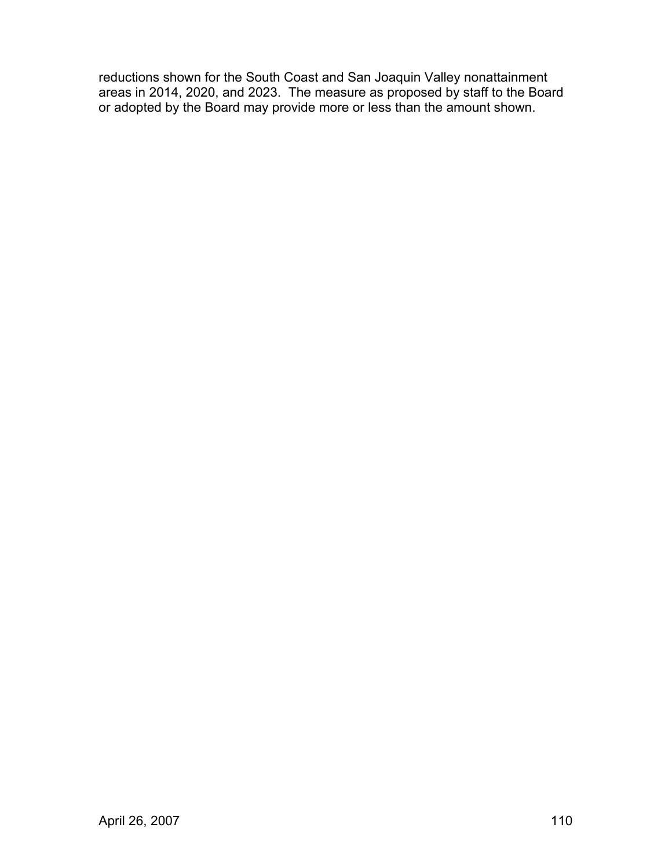reductions shown for the South Coast and San Joaquin Valley nonattainment areas in 2014, 2020, and 2023. The measure as proposed by staff to the Board or adopted by the Board may provide more or less than the amount shown.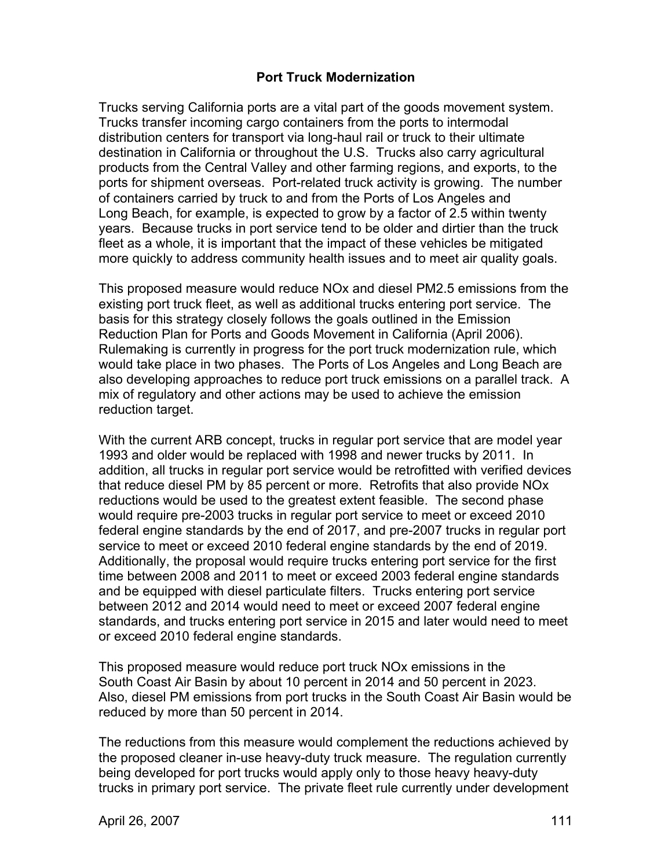### **Port Truck Modernization**

Trucks serving California ports are a vital part of the goods movement system. Trucks transfer incoming cargo containers from the ports to intermodal distribution centers for transport via long-haul rail or truck to their ultimate destination in California or throughout the U.S. Trucks also carry agricultural products from the Central Valley and other farming regions, and exports, to the ports for shipment overseas. Port-related truck activity is growing. The number of containers carried by truck to and from the Ports of Los Angeles and Long Beach, for example, is expected to grow by a factor of 2.5 within twenty years. Because trucks in port service tend to be older and dirtier than the truck fleet as a whole, it is important that the impact of these vehicles be mitigated more quickly to address community health issues and to meet air quality goals.

This proposed measure would reduce NOx and diesel PM2.5 emissions from the existing port truck fleet, as well as additional trucks entering port service. The basis for this strategy closely follows the goals outlined in the Emission Reduction Plan for Ports and Goods Movement in California (April 2006). Rulemaking is currently in progress for the port truck modernization rule, which would take place in two phases. The Ports of Los Angeles and Long Beach are also developing approaches to reduce port truck emissions on a parallel track. A mix of regulatory and other actions may be used to achieve the emission reduction target.

With the current ARB concept, trucks in regular port service that are model year 1993 and older would be replaced with 1998 and newer trucks by 2011. In addition, all trucks in regular port service would be retrofitted with verified devices that reduce diesel PM by 85 percent or more. Retrofits that also provide NOx reductions would be used to the greatest extent feasible. The second phase would require pre-2003 trucks in regular port service to meet or exceed 2010 federal engine standards by the end of 2017, and pre-2007 trucks in regular port service to meet or exceed 2010 federal engine standards by the end of 2019. Additionally, the proposal would require trucks entering port service for the first time between 2008 and 2011 to meet or exceed 2003 federal engine standards and be equipped with diesel particulate filters. Trucks entering port service between 2012 and 2014 would need to meet or exceed 2007 federal engine standards, and trucks entering port service in 2015 and later would need to meet or exceed 2010 federal engine standards.

This proposed measure would reduce port truck NOx emissions in the South Coast Air Basin by about 10 percent in 2014 and 50 percent in 2023. Also, diesel PM emissions from port trucks in the South Coast Air Basin would be reduced by more than 50 percent in 2014.

The reductions from this measure would complement the reductions achieved by the proposed cleaner in-use heavy-duty truck measure. The regulation currently being developed for port trucks would apply only to those heavy heavy-duty trucks in primary port service. The private fleet rule currently under development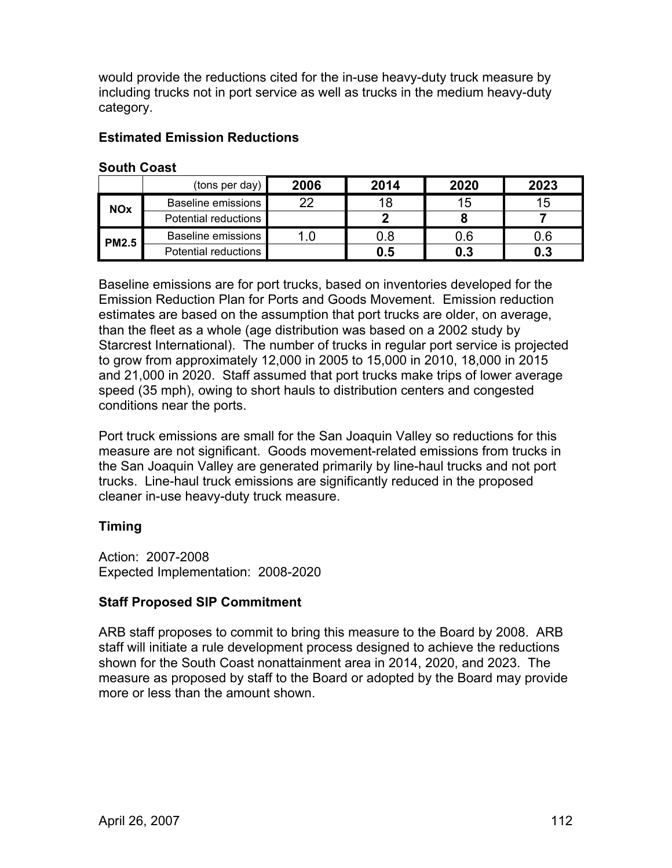would provide the reductions cited for the in-use heavy-duty truck measure by including trucks not in port service as well as trucks in the medium heavy-duty category.

### **Estimated Emission Reductions**

|              | (tons per day)            | 2006 | 2014 | 2020 | 2023 |
|--------------|---------------------------|------|------|------|------|
| <b>NOx</b>   | <b>Baseline emissions</b> | 22   | 18   | 15   | 15   |
|              | Potential reductions      |      |      |      |      |
| <b>PM2.5</b> | Baseline emissions        | 1.0  | 0.8  | 0.6  | 0.6  |
|              | Potential reductions      |      | 0.5  | 0.3  | 0.3  |

#### **South Coast**

Baseline emissions are for port trucks, based on inventories developed for the Emission Reduction Plan for Ports and Goods Movement. Emission reduction estimates are based on the assumption that port trucks are older, on average, than the fleet as a whole (age distribution was based on a 2002 study by Starcrest International). The number of trucks in regular port service is projected to grow from approximately 12,000 in 2005 to 15,000 in 2010, 18,000 in 2015 and 21,000 in 2020. Staff assumed that port trucks make trips of lower average speed (35 mph), owing to short hauls to distribution centers and congested conditions near the ports.

Port truck emissions are small for the San Joaquin Valley so reductions for this measure are not significant. Goods movement-related emissions from trucks in the San Joaquin Valley are generated primarily by line-haul trucks and not port trucks. Line-haul truck emissions are significantly reduced in the proposed cleaner in-use heavy-duty truck measure.

## **Timing**

Action: 2007-2008 Expected Implementation: 2008-2020

## **Staff Proposed SIP Commitment**

ARB staff proposes to commit to bring this measure to the Board by 2008. ARB staff will initiate a rule development process designed to achieve the reductions shown for the South Coast nonattainment area in 2014, 2020, and 2023. The measure as proposed by staff to the Board or adopted by the Board may provide more or less than the amount shown.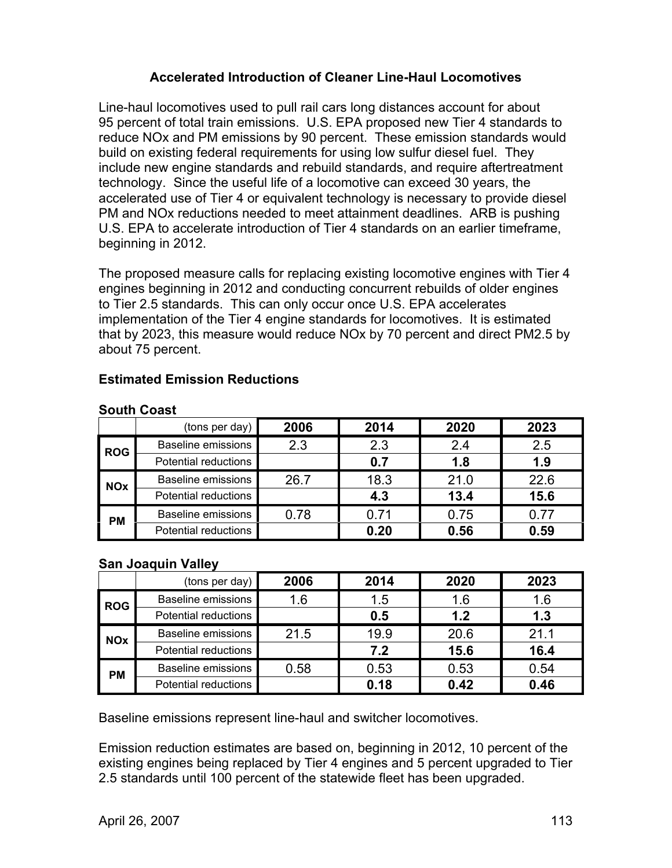## **Accelerated Introduction of Cleaner Line-Haul Locomotives**

Line-haul locomotives used to pull rail cars long distances account for about 95 percent of total train emissions. U.S. EPA proposed new Tier 4 standards to reduce NOx and PM emissions by 90 percent. These emission standards would build on existing federal requirements for using low sulfur diesel fuel. They include new engine standards and rebuild standards, and require aftertreatment technology. Since the useful life of a locomotive can exceed 30 years, the accelerated use of Tier 4 or equivalent technology is necessary to provide diesel PM and NOx reductions needed to meet attainment deadlines. ARB is pushing U.S. EPA to accelerate introduction of Tier 4 standards on an earlier timeframe, beginning in 2012.

The proposed measure calls for replacing existing locomotive engines with Tier 4 engines beginning in 2012 and conducting concurrent rebuilds of older engines to Tier 2.5 standards. This can only occur once U.S. EPA accelerates implementation of the Tier 4 engine standards for locomotives. It is estimated that by 2023, this measure would reduce NOx by 70 percent and direct PM2.5 by about 75 percent.

## **Estimated Emission Reductions**

|            | (tons per day)            | 2006 | 2014 | 2020 | 2023 |
|------------|---------------------------|------|------|------|------|
| <b>ROG</b> | <b>Baseline emissions</b> | 2.3  | 2.3  | 2.4  | 2.5  |
|            | Potential reductions      |      | 0.7  | 1.8  | 1.9  |
| <b>NOx</b> | Baseline emissions        | 26.7 | 18.3 | 21.0 | 22.6 |
|            | Potential reductions      |      | 4.3  | 13.4 | 15.6 |
| <b>PM</b>  | <b>Baseline emissions</b> | 0.78 | 0.71 | 0.75 | 0.77 |
|            | Potential reductions      |      | 0.20 | 0.56 | 0.59 |

### **South Coast**

### **San Joaquin Valley**

|            | (tons per day) $ $        | 2006 | 2014 | 2020 | 2023 |
|------------|---------------------------|------|------|------|------|
| <b>ROG</b> | <b>Baseline emissions</b> | 1.6  | 1.5  | 1.6  | 1.6  |
|            | Potential reductions      |      | 0.5  | 1.2  | 1.3  |
| <b>NOx</b> | <b>Baseline emissions</b> | 21.5 | 19.9 | 20.6 | 21.1 |
|            | Potential reductions      |      | 7.2  | 15.6 | 16.4 |
| <b>PM</b>  | <b>Baseline emissions</b> | 0.58 | 0.53 | 0.53 | 0.54 |
|            | Potential reductions      |      | 0.18 | 0.42 | 0.46 |

Baseline emissions represent line-haul and switcher locomotives.

Emission reduction estimates are based on, beginning in 2012, 10 percent of the existing engines being replaced by Tier 4 engines and 5 percent upgraded to Tier 2.5 standards until 100 percent of the statewide fleet has been upgraded.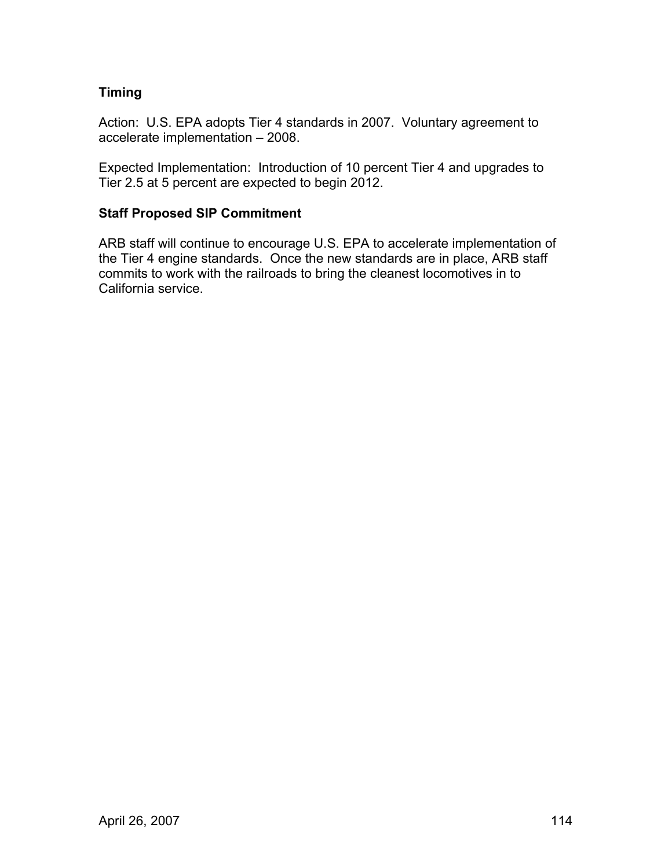## **Timing**

Action: U.S. EPA adopts Tier 4 standards in 2007. Voluntary agreement to accelerate implementation – 2008.

Expected Implementation: Introduction of 10 percent Tier 4 and upgrades to Tier 2.5 at 5 percent are expected to begin 2012.

## **Staff Proposed SIP Commitment**

ARB staff will continue to encourage U.S. EPA to accelerate implementation of the Tier 4 engine standards. Once the new standards are in place, ARB staff commits to work with the railroads to bring the cleanest locomotives in to California service.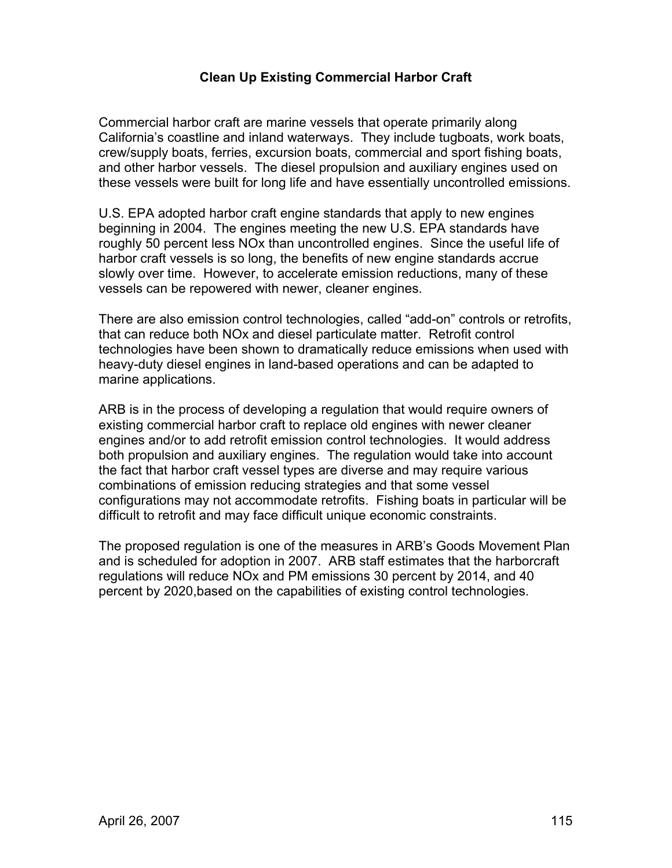## **Clean Up Existing Commercial Harbor Craft**

Commercial harbor craft are marine vessels that operate primarily along California's coastline and inland waterways. They include tugboats, work boats, crew/supply boats, ferries, excursion boats, commercial and sport fishing boats, and other harbor vessels. The diesel propulsion and auxiliary engines used on these vessels were built for long life and have essentially uncontrolled emissions.

U.S. EPA adopted harbor craft engine standards that apply to new engines beginning in 2004. The engines meeting the new U.S. EPA standards have roughly 50 percent less NOx than uncontrolled engines. Since the useful life of harbor craft vessels is so long, the benefits of new engine standards accrue slowly over time. However, to accelerate emission reductions, many of these vessels can be repowered with newer, cleaner engines.

There are also emission control technologies, called "add-on" controls or retrofits, that can reduce both NOx and diesel particulate matter. Retrofit control technologies have been shown to dramatically reduce emissions when used with heavy-duty diesel engines in land-based operations and can be adapted to marine applications.

ARB is in the process of developing a regulation that would require owners of existing commercial harbor craft to replace old engines with newer cleaner engines and/or to add retrofit emission control technologies. It would address both propulsion and auxiliary engines. The regulation would take into account the fact that harbor craft vessel types are diverse and may require various combinations of emission reducing strategies and that some vessel configurations may not accommodate retrofits. Fishing boats in particular will be difficult to retrofit and may face difficult unique economic constraints.

The proposed regulation is one of the measures in ARB's Goods Movement Plan and is scheduled for adoption in 2007. ARB staff estimates that the harborcraft regulations will reduce NOx and PM emissions 30 percent by 2014, and 40 percent by 2020,based on the capabilities of existing control technologies.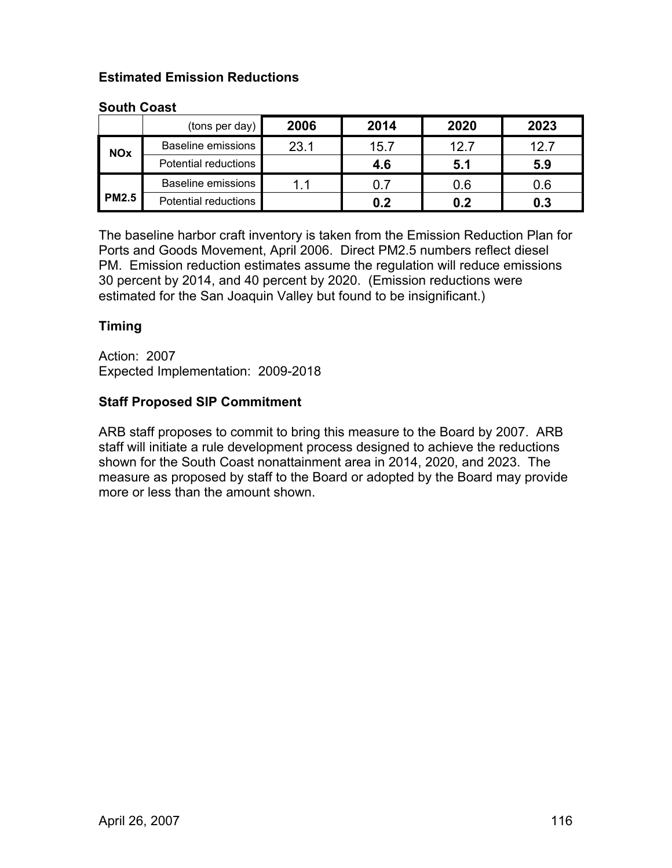## **Estimated Emission Reductions**

### **South Coast**

|              | (tons per day)            | 2006 | 2014 | 2020 | 2023 |
|--------------|---------------------------|------|------|------|------|
| <b>NOx</b>   | <b>Baseline emissions</b> | 23.1 | 15.7 | 12.7 | 12.7 |
|              | Potential reductions      |      | 4.6  | 5.1  | 5.9  |
| <b>PM2.5</b> | Baseline emissions        | 11   | 0.7  | 0.6  | 0.6  |
|              | Potential reductions      |      | 0.2  | 0.2  | 0.3  |

The baseline harbor craft inventory is taken from the Emission Reduction Plan for Ports and Goods Movement, April 2006. Direct PM2.5 numbers reflect diesel PM. Emission reduction estimates assume the regulation will reduce emissions 30 percent by 2014, and 40 percent by 2020. (Emission reductions were estimated for the San Joaquin Valley but found to be insignificant.)

## **Timing**

Action: 2007 Expected Implementation: 2009-2018

### **Staff Proposed SIP Commitment**

ARB staff proposes to commit to bring this measure to the Board by 2007. ARB staff will initiate a rule development process designed to achieve the reductions shown for the South Coast nonattainment area in 2014, 2020, and 2023. The measure as proposed by staff to the Board or adopted by the Board may provide more or less than the amount shown.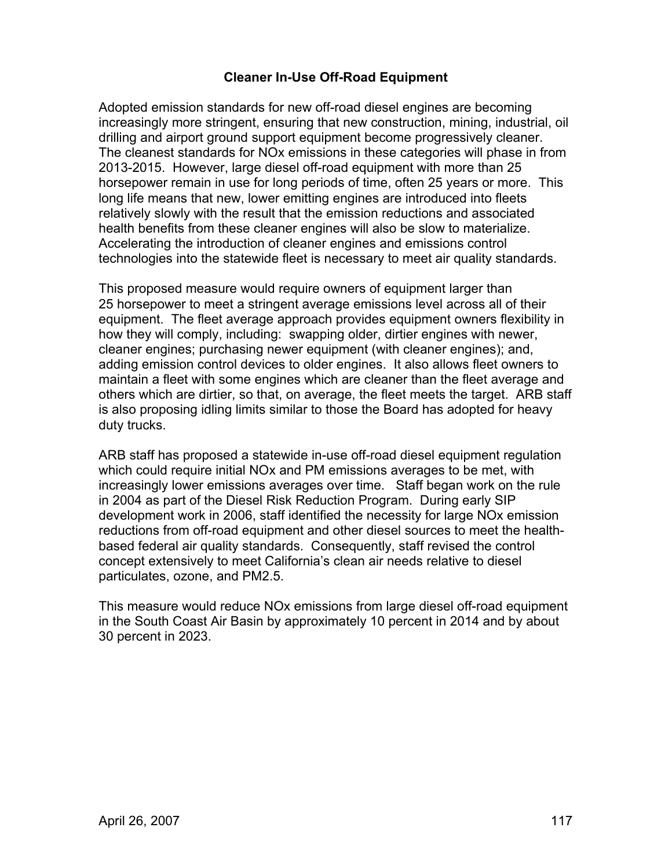## **Cleaner In-Use Off-Road Equipment**

Adopted emission standards for new off-road diesel engines are becoming increasingly more stringent, ensuring that new construction, mining, industrial, oil drilling and airport ground support equipment become progressively cleaner. The cleanest standards for NOx emissions in these categories will phase in from 2013-2015. However, large diesel off-road equipment with more than 25 horsepower remain in use for long periods of time, often 25 years or more. This long life means that new, lower emitting engines are introduced into fleets relatively slowly with the result that the emission reductions and associated health benefits from these cleaner engines will also be slow to materialize. Accelerating the introduction of cleaner engines and emissions control technologies into the statewide fleet is necessary to meet air quality standards.

This proposed measure would require owners of equipment larger than 25 horsepower to meet a stringent average emissions level across all of their equipment. The fleet average approach provides equipment owners flexibility in how they will comply, including: swapping older, dirtier engines with newer, cleaner engines; purchasing newer equipment (with cleaner engines); and, adding emission control devices to older engines. It also allows fleet owners to maintain a fleet with some engines which are cleaner than the fleet average and others which are dirtier, so that, on average, the fleet meets the target. ARB staff is also proposing idling limits similar to those the Board has adopted for heavy duty trucks.

ARB staff has proposed a statewide in-use off-road diesel equipment regulation which could require initial NOx and PM emissions averages to be met, with increasingly lower emissions averages over time. Staff began work on the rule in 2004 as part of the Diesel Risk Reduction Program. During early SIP development work in 2006, staff identified the necessity for large NOx emission reductions from off-road equipment and other diesel sources to meet the healthbased federal air quality standards. Consequently, staff revised the control concept extensively to meet California's clean air needs relative to diesel particulates, ozone, and PM2.5.

This measure would reduce NOx emissions from large diesel off-road equipment in the South Coast Air Basin by approximately 10 percent in 2014 and by about 30 percent in 2023.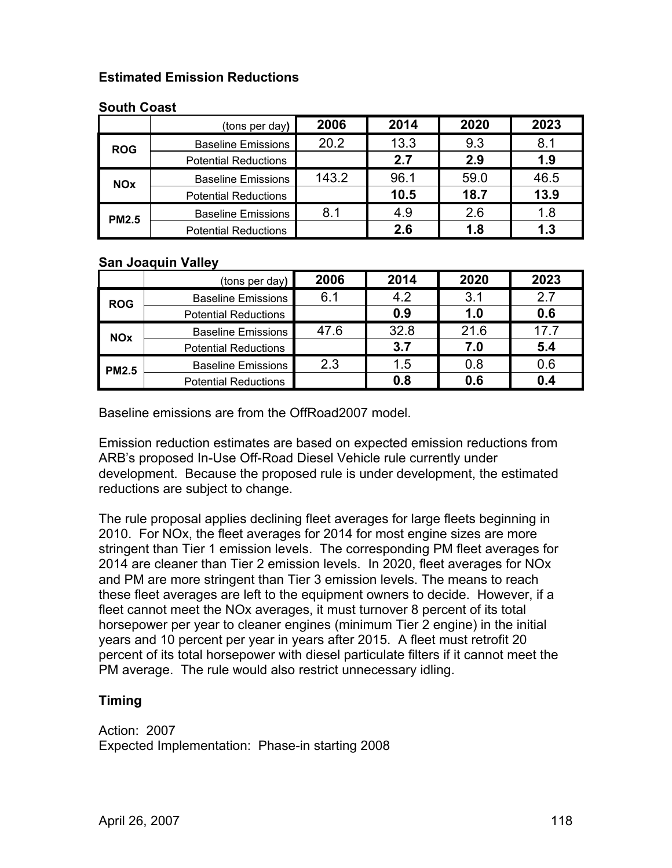## **Estimated Emission Reductions**

### **South Coast**

|              | (tons per day)              | 2006  | 2014 | 2020 | 2023 |
|--------------|-----------------------------|-------|------|------|------|
| <b>ROG</b>   | <b>Baseline Emissions</b>   | 20.2  | 13.3 | 9.3  | 8.1  |
|              | <b>Potential Reductions</b> |       | 2.7  | 2.9  | 1.9  |
| <b>NOx</b>   | <b>Baseline Emissions</b>   | 143.2 | 96.1 | 59.0 | 46.5 |
|              | <b>Potential Reductions</b> |       | 10.5 | 18.7 | 13.9 |
| <b>PM2.5</b> | <b>Baseline Emissions</b>   | 8.1   | 4.9  | 2.6  | 1.8  |
|              | <b>Potential Reductions</b> |       | 2.6  | 1.8  | 1.3  |

### **San Joaquin Valley**

|              | (tons per day) $ $          | 2006 | 2014 | 2020 | 2023 |
|--------------|-----------------------------|------|------|------|------|
| <b>ROG</b>   | <b>Baseline Emissions</b>   | 6.1  | 4.2  | 3.1  | 27   |
|              | <b>Potential Reductions</b> |      | 0.9  | 1.0  | 0.6  |
| <b>NOx</b>   | <b>Baseline Emissions</b>   | 47.6 | 32.8 | 21.6 | 17.7 |
|              | <b>Potential Reductions</b> |      | 3.7  | 7.0  | 5.4  |
| <b>PM2.5</b> | <b>Baseline Emissions</b>   | 2.3  | 1.5  | 0.8  | 0.6  |
|              | <b>Potential Reductions</b> |      | 0.8  | 0.6  |      |

Baseline emissions are from the OffRoad2007 model.

Emission reduction estimates are based on expected emission reductions from ARB's proposed In-Use Off-Road Diesel Vehicle rule currently under development. Because the proposed rule is under development, the estimated reductions are subject to change.

The rule proposal applies declining fleet averages for large fleets beginning in 2010. For NOx, the fleet averages for 2014 for most engine sizes are more stringent than Tier 1 emission levels. The corresponding PM fleet averages for 2014 are cleaner than Tier 2 emission levels. In 2020, fleet averages for NOx and PM are more stringent than Tier 3 emission levels. The means to reach these fleet averages are left to the equipment owners to decide. However, if a fleet cannot meet the NOx averages, it must turnover 8 percent of its total horsepower per year to cleaner engines (minimum Tier 2 engine) in the initial years and 10 percent per year in years after 2015. A fleet must retrofit 20 percent of its total horsepower with diesel particulate filters if it cannot meet the PM average. The rule would also restrict unnecessary idling.

## **Timing**

Action: 2007 Expected Implementation: Phase-in starting 2008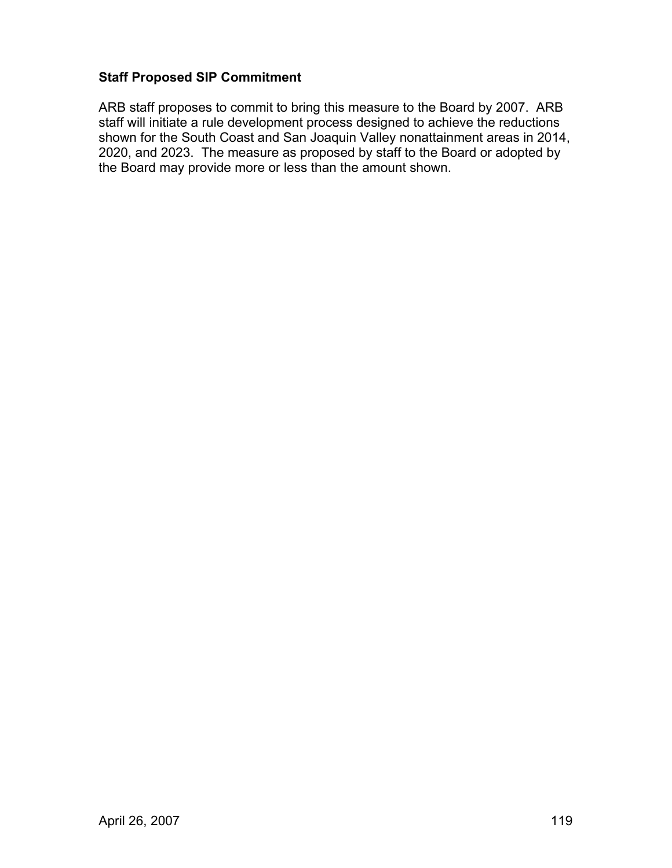## **Staff Proposed SIP Commitment**

ARB staff proposes to commit to bring this measure to the Board by 2007. ARB staff will initiate a rule development process designed to achieve the reductions shown for the South Coast and San Joaquin Valley nonattainment areas in 2014, 2020, and 2023. The measure as proposed by staff to the Board or adopted by the Board may provide more or less than the amount shown.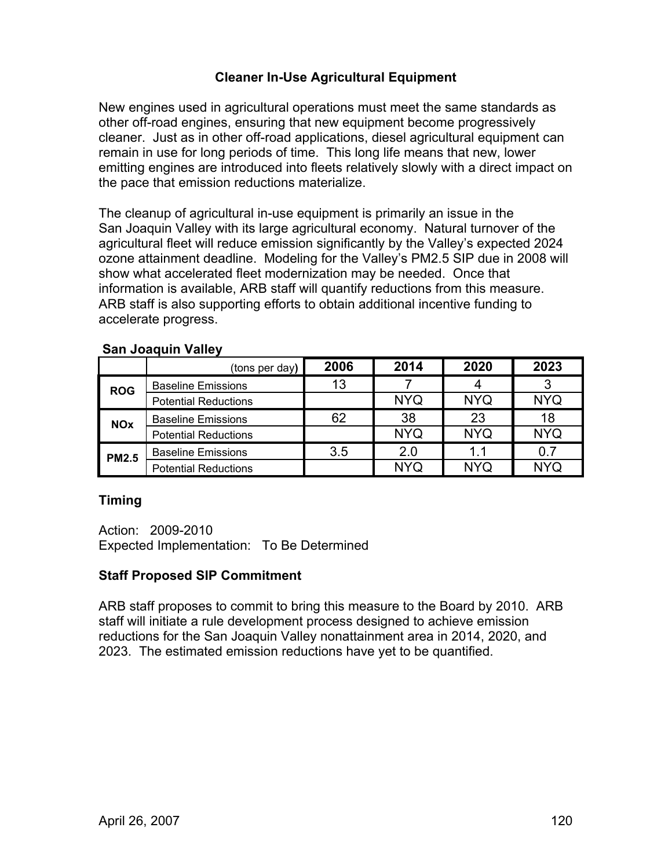## **Cleaner In-Use Agricultural Equipment**

New engines used in agricultural operations must meet the same standards as other off-road engines, ensuring that new equipment become progressively cleaner. Just as in other off-road applications, diesel agricultural equipment can remain in use for long periods of time. This long life means that new, lower emitting engines are introduced into fleets relatively slowly with a direct impact on the pace that emission reductions materialize.

The cleanup of agricultural in-use equipment is primarily an issue in the San Joaquin Valley with its large agricultural economy. Natural turnover of the agricultural fleet will reduce emission significantly by the Valley's expected 2024 ozone attainment deadline. Modeling for the Valley's PM2.5 SIP due in 2008 will show what accelerated fleet modernization may be needed. Once that information is available, ARB staff will quantify reductions from this measure. ARB staff is also supporting efforts to obtain additional incentive funding to accelerate progress.

|              | (tons per day)              | 2006 | 2014       | 2020       | 2023       |
|--------------|-----------------------------|------|------------|------------|------------|
| <b>ROG</b>   | <b>Baseline Emissions</b>   | 13   |            |            |            |
|              | <b>Potential Reductions</b> |      | <b>NYQ</b> | <b>NYQ</b> | <b>NYQ</b> |
| <b>NOx</b>   | <b>Baseline Emissions</b>   | 62   | 38         | 23         | 18         |
|              | <b>Potential Reductions</b> |      | <b>NYQ</b> | <b>NYQ</b> | <b>NYQ</b> |
| <b>PM2.5</b> | <b>Baseline Emissions</b>   | 3.5  | 2.0        | 1.1        |            |
|              | <b>Potential Reductions</b> |      | <b>NYQ</b> | <b>NYQ</b> | NYQ        |

### **San Joaquin Valley**

## **Timing**

Action: 2009-2010 Expected Implementation: To Be Determined

### **Staff Proposed SIP Commitment**

ARB staff proposes to commit to bring this measure to the Board by 2010. ARB staff will initiate a rule development process designed to achieve emission reductions for the San Joaquin Valley nonattainment area in 2014, 2020, and 2023. The estimated emission reductions have yet to be quantified.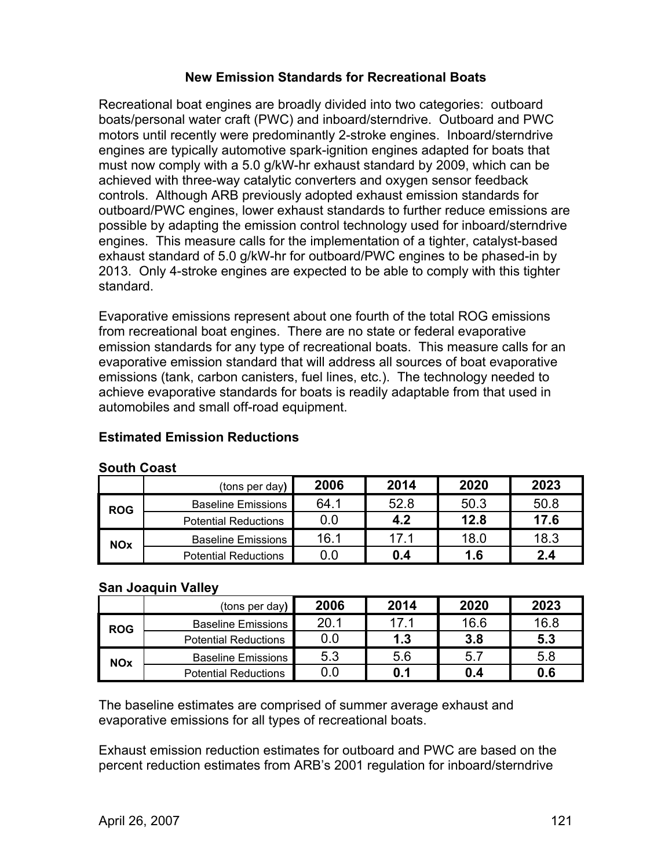### **New Emission Standards for Recreational Boats**

Recreational boat engines are broadly divided into two categories: outboard boats/personal water craft (PWC) and inboard/sterndrive. Outboard and PWC motors until recently were predominantly 2-stroke engines. Inboard/sterndrive engines are typically automotive spark-ignition engines adapted for boats that must now comply with a 5.0 g/kW-hr exhaust standard by 2009, which can be achieved with three-way catalytic converters and oxygen sensor feedback controls. Although ARB previously adopted exhaust emission standards for outboard/PWC engines, lower exhaust standards to further reduce emissions are possible by adapting the emission control technology used for inboard/sterndrive engines. This measure calls for the implementation of a tighter, catalyst-based exhaust standard of 5.0 g/kW-hr for outboard/PWC engines to be phased-in by 2013. Only 4-stroke engines are expected to be able to comply with this tighter standard.

Evaporative emissions represent about one fourth of the total ROG emissions from recreational boat engines. There are no state or federal evaporative emission standards for any type of recreational boats. This measure calls for an evaporative emission standard that will address all sources of boat evaporative emissions (tank, carbon canisters, fuel lines, etc.). The technology needed to achieve evaporative standards for boats is readily adaptable from that used in automobiles and small off-road equipment.

## **South Coast**  (tons per day**) 2006 2014 2020 2023 ROG** Baseline Emissions 64.1 52.8 50.3 50.8<br>Potential Reductions 0.0 4.2 12.8 17.6 **Potential Reductions NOx** Baseline Emissions 16.1 17.1 18.0 18.3<br>Potential Reductions 0.0 0.4 1.6 2.4 **Potential Reductions**

## **Estimated Emission Reductions**

### **San Joaquin Valley**

|            | (tons per day)              | 2006 | 2014 | 2020 | 2023 |
|------------|-----------------------------|------|------|------|------|
| <b>ROG</b> | <b>Baseline Emissions</b>   | 20.1 | 17.1 | 16.6 | 16.8 |
|            | <b>Potential Reductions</b> | 0.0  | 1.3  | 3.8  | 5.3  |
| <b>NOx</b> | <b>Baseline Emissions</b>   | 5.3  | 5.6  | 5.7  | 5.8  |
|            | <b>Potential Reductions</b> | 0.0  | 0.1  | 0.4  | 0.6  |

The baseline estimates are comprised of summer average exhaust and evaporative emissions for all types of recreational boats.

Exhaust emission reduction estimates for outboard and PWC are based on the percent reduction estimates from ARB's 2001 regulation for inboard/sterndrive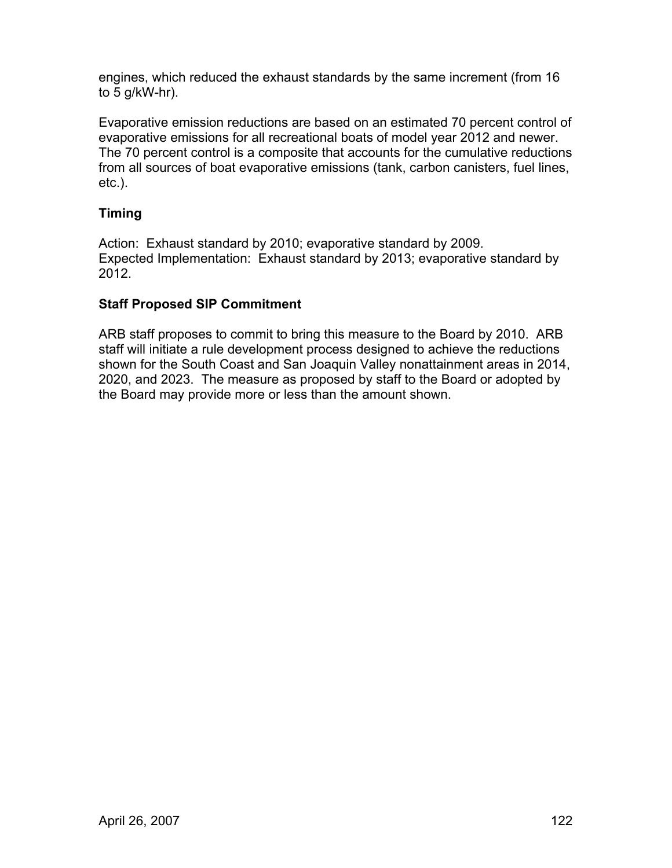engines, which reduced the exhaust standards by the same increment (from 16 to 5 g/kW-hr).

Evaporative emission reductions are based on an estimated 70 percent control of evaporative emissions for all recreational boats of model year 2012 and newer. The 70 percent control is a composite that accounts for the cumulative reductions from all sources of boat evaporative emissions (tank, carbon canisters, fuel lines, etc.).

## **Timing**

Action: Exhaust standard by 2010; evaporative standard by 2009. Expected Implementation: Exhaust standard by 2013; evaporative standard by 2012.

## **Staff Proposed SIP Commitment**

ARB staff proposes to commit to bring this measure to the Board by 2010. ARB staff will initiate a rule development process designed to achieve the reductions shown for the South Coast and San Joaquin Valley nonattainment areas in 2014, 2020, and 2023. The measure as proposed by staff to the Board or adopted by the Board may provide more or less than the amount shown.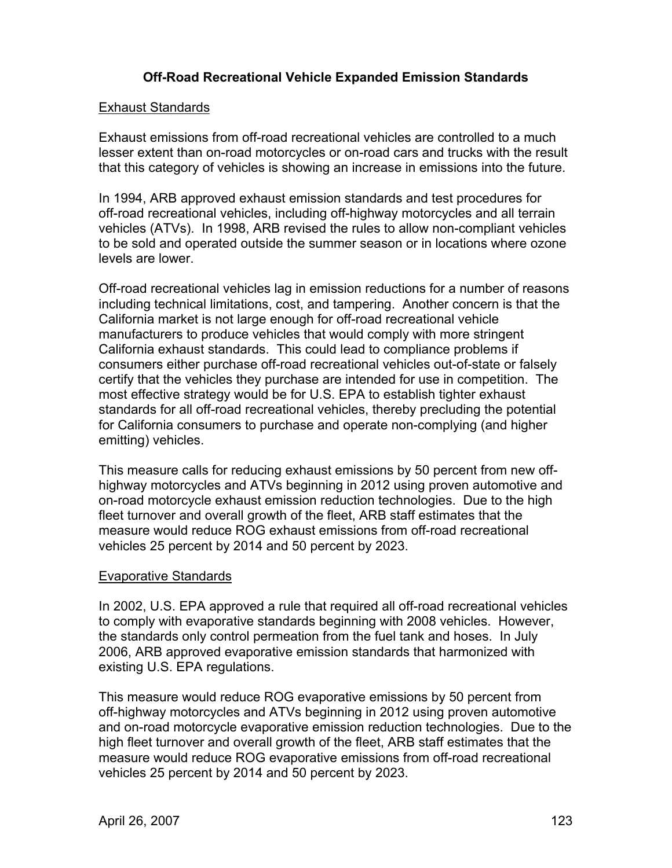## **Off-Road Recreational Vehicle Expanded Emission Standards**

#### Exhaust Standards

Exhaust emissions from off-road recreational vehicles are controlled to a much lesser extent than on-road motorcycles or on-road cars and trucks with the result that this category of vehicles is showing an increase in emissions into the future.

In 1994, ARB approved exhaust emission standards and test procedures for off-road recreational vehicles, including off-highway motorcycles and all terrain vehicles (ATVs). In 1998, ARB revised the rules to allow non-compliant vehicles to be sold and operated outside the summer season or in locations where ozone levels are lower.

Off-road recreational vehicles lag in emission reductions for a number of reasons including technical limitations, cost, and tampering. Another concern is that the California market is not large enough for off-road recreational vehicle manufacturers to produce vehicles that would comply with more stringent California exhaust standards. This could lead to compliance problems if consumers either purchase off-road recreational vehicles out-of-state or falsely certify that the vehicles they purchase are intended for use in competition. The most effective strategy would be for U.S. EPA to establish tighter exhaust standards for all off-road recreational vehicles, thereby precluding the potential for California consumers to purchase and operate non-complying (and higher emitting) vehicles.

This measure calls for reducing exhaust emissions by 50 percent from new offhighway motorcycles and ATVs beginning in 2012 using proven automotive and on-road motorcycle exhaust emission reduction technologies. Due to the high fleet turnover and overall growth of the fleet, ARB staff estimates that the measure would reduce ROG exhaust emissions from off-road recreational vehicles 25 percent by 2014 and 50 percent by 2023.

### Evaporative Standards

In 2002, U.S. EPA approved a rule that required all off-road recreational vehicles to comply with evaporative standards beginning with 2008 vehicles. However, the standards only control permeation from the fuel tank and hoses. In July 2006, ARB approved evaporative emission standards that harmonized with existing U.S. EPA regulations.

This measure would reduce ROG evaporative emissions by 50 percent from off-highway motorcycles and ATVs beginning in 2012 using proven automotive and on-road motorcycle evaporative emission reduction technologies. Due to the high fleet turnover and overall growth of the fleet, ARB staff estimates that the measure would reduce ROG evaporative emissions from off-road recreational vehicles 25 percent by 2014 and 50 percent by 2023.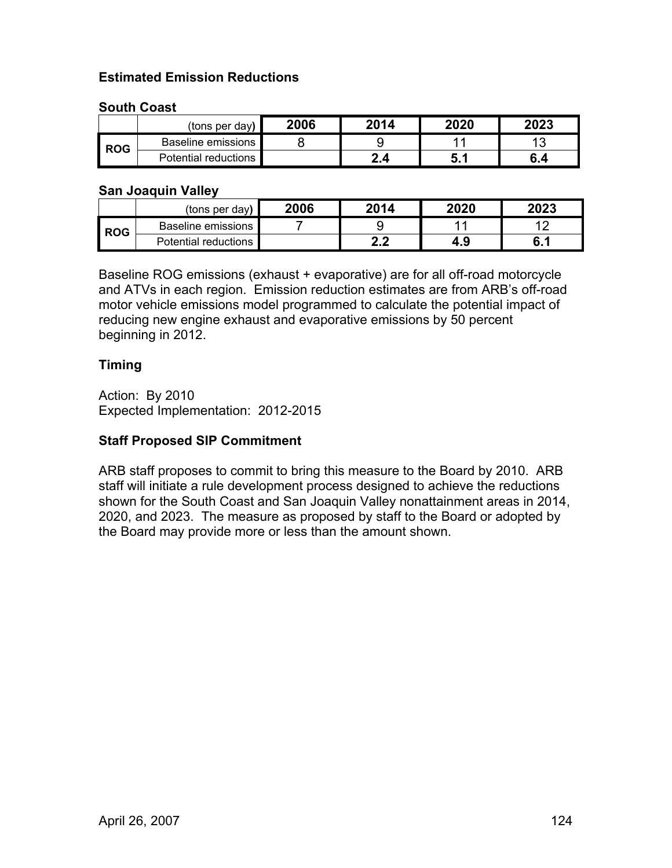## **Estimated Emission Reductions**

### **South Coast**

|            | (tons per day)            | 2006 | 2014 | 2020   | 2023 |
|------------|---------------------------|------|------|--------|------|
| <b>ROG</b> | <b>Baseline emissions</b> |      |      |        | -4.2 |
|            | Potential reductions      |      | 2.4  | . J. . | 6.4  |

#### **San Joaquin Valley**

|            | (tons per day)       | 2006 | 2014         | 2020 | 2023      |
|------------|----------------------|------|--------------|------|-----------|
| <b>ROG</b> | Baseline emissions   |      |              |      |           |
|            | Potential reductions |      | n<br>л.<br>. | 4.9  | c<br>0. L |

Baseline ROG emissions (exhaust + evaporative) are for all off-road motorcycle and ATVs in each region. Emission reduction estimates are from ARB's off-road motor vehicle emissions model programmed to calculate the potential impact of reducing new engine exhaust and evaporative emissions by 50 percent beginning in 2012.

### **Timing**

Action: By 2010 Expected Implementation: 2012-2015

### **Staff Proposed SIP Commitment**

ARB staff proposes to commit to bring this measure to the Board by 2010. ARB staff will initiate a rule development process designed to achieve the reductions shown for the South Coast and San Joaquin Valley nonattainment areas in 2014, 2020, and 2023. The measure as proposed by staff to the Board or adopted by the Board may provide more or less than the amount shown.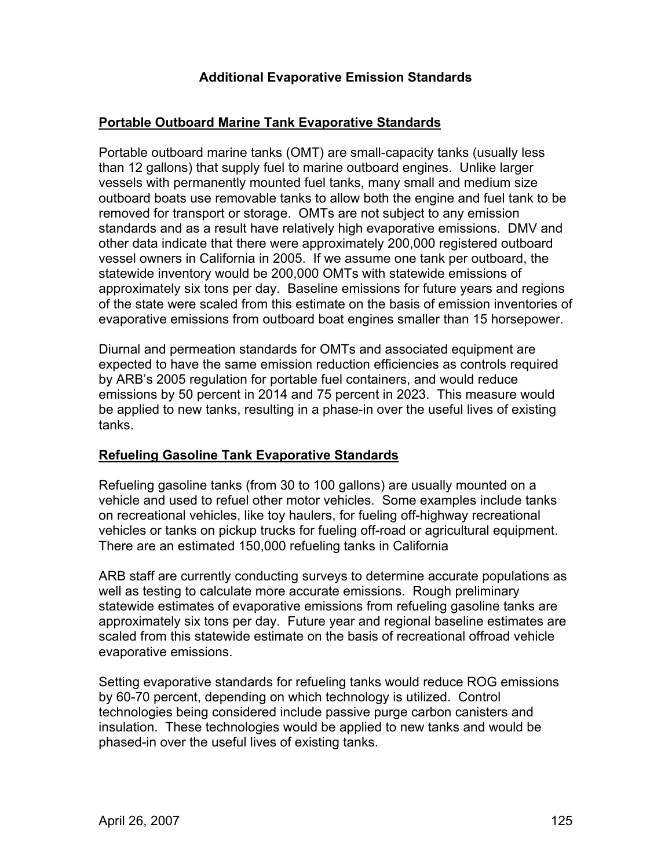## **Additional Evaporative Emission Standards**

### **Portable Outboard Marine Tank Evaporative Standards**

Portable outboard marine tanks (OMT) are small-capacity tanks (usually less than 12 gallons) that supply fuel to marine outboard engines. Unlike larger vessels with permanently mounted fuel tanks, many small and medium size outboard boats use removable tanks to allow both the engine and fuel tank to be removed for transport or storage. OMTs are not subject to any emission standards and as a result have relatively high evaporative emissions. DMV and other data indicate that there were approximately 200,000 registered outboard vessel owners in California in 2005. If we assume one tank per outboard, the statewide inventory would be 200,000 OMTs with statewide emissions of approximately six tons per day. Baseline emissions for future years and regions of the state were scaled from this estimate on the basis of emission inventories of evaporative emissions from outboard boat engines smaller than 15 horsepower.

Diurnal and permeation standards for OMTs and associated equipment are expected to have the same emission reduction efficiencies as controls required by ARB's 2005 regulation for portable fuel containers, and would reduce emissions by 50 percent in 2014 and 75 percent in 2023. This measure would be applied to new tanks, resulting in a phase-in over the useful lives of existing tanks.

### **Refueling Gasoline Tank Evaporative Standards**

Refueling gasoline tanks (from 30 to 100 gallons) are usually mounted on a vehicle and used to refuel other motor vehicles. Some examples include tanks on recreational vehicles, like toy haulers, for fueling off-highway recreational vehicles or tanks on pickup trucks for fueling off-road or agricultural equipment. There are an estimated 150,000 refueling tanks in California

ARB staff are currently conducting surveys to determine accurate populations as well as testing to calculate more accurate emissions. Rough preliminary statewide estimates of evaporative emissions from refueling gasoline tanks are approximately six tons per day. Future year and regional baseline estimates are scaled from this statewide estimate on the basis of recreational offroad vehicle evaporative emissions.

Setting evaporative standards for refueling tanks would reduce ROG emissions by 60-70 percent, depending on which technology is utilized. Control technologies being considered include passive purge carbon canisters and insulation. These technologies would be applied to new tanks and would be phased-in over the useful lives of existing tanks.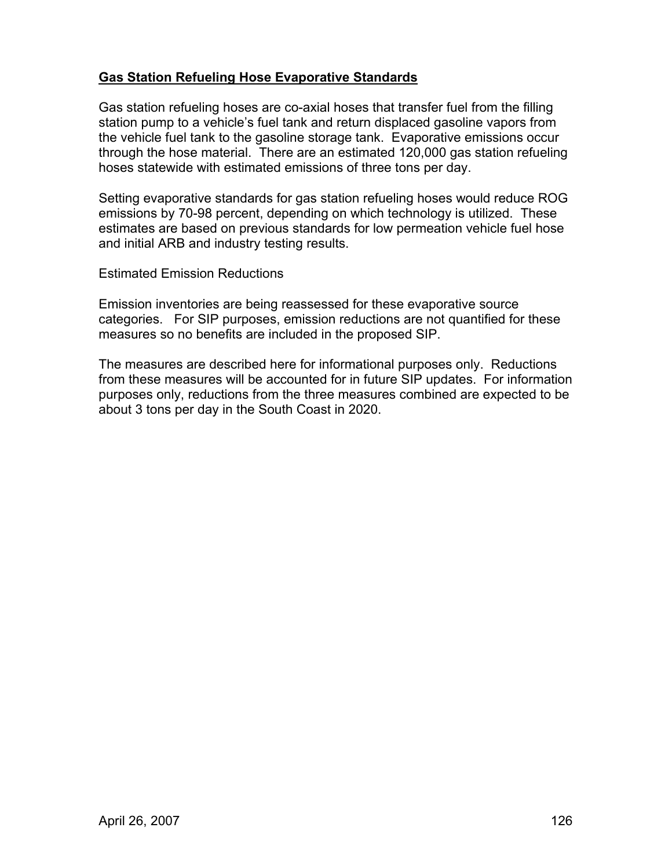## **Gas Station Refueling Hose Evaporative Standards**

Gas station refueling hoses are co-axial hoses that transfer fuel from the filling station pump to a vehicle's fuel tank and return displaced gasoline vapors from the vehicle fuel tank to the gasoline storage tank. Evaporative emissions occur through the hose material. There are an estimated 120,000 gas station refueling hoses statewide with estimated emissions of three tons per day.

Setting evaporative standards for gas station refueling hoses would reduce ROG emissions by 70-98 percent, depending on which technology is utilized. These estimates are based on previous standards for low permeation vehicle fuel hose and initial ARB and industry testing results.

Estimated Emission Reductions

Emission inventories are being reassessed for these evaporative source categories. For SIP purposes, emission reductions are not quantified for these measures so no benefits are included in the proposed SIP.

The measures are described here for informational purposes only. Reductions from these measures will be accounted for in future SIP updates. For information purposes only, reductions from the three measures combined are expected to be about 3 tons per day in the South Coast in 2020.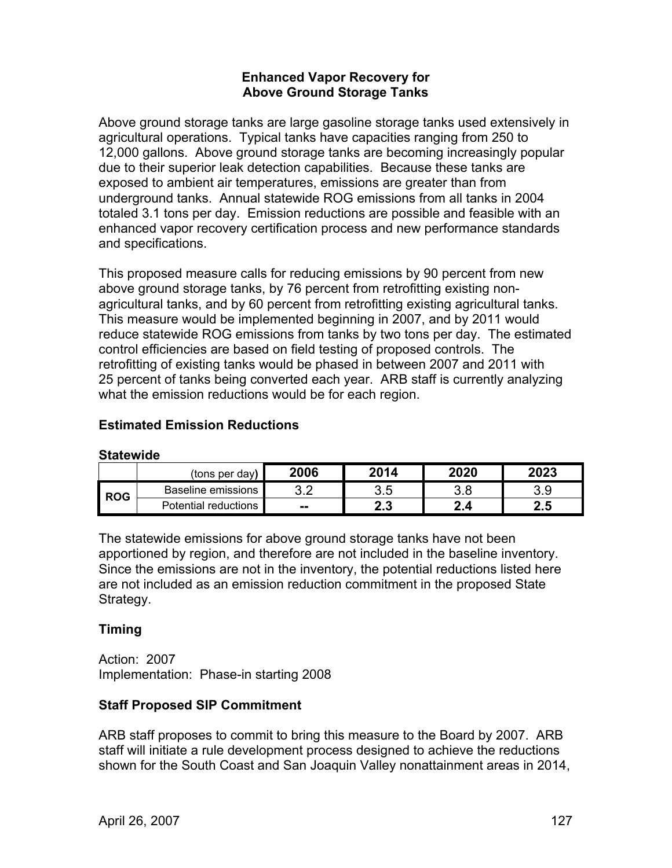### **Enhanced Vapor Recovery for Above Ground Storage Tanks**

Above ground storage tanks are large gasoline storage tanks used extensively in agricultural operations. Typical tanks have capacities ranging from 250 to 12,000 gallons. Above ground storage tanks are becoming increasingly popular due to their superior leak detection capabilities. Because these tanks are exposed to ambient air temperatures, emissions are greater than from underground tanks. Annual statewide ROG emissions from all tanks in 2004 totaled 3.1 tons per day. Emission reductions are possible and feasible with an enhanced vapor recovery certification process and new performance standards and specifications.

This proposed measure calls for reducing emissions by 90 percent from new above ground storage tanks, by 76 percent from retrofitting existing nonagricultural tanks, and by 60 percent from retrofitting existing agricultural tanks. This measure would be implemented beginning in 2007, and by 2011 would reduce statewide ROG emissions from tanks by two tons per day. The estimated control efficiencies are based on field testing of proposed controls. The retrofitting of existing tanks would be phased in between 2007 and 2011 with 25 percent of tanks being converted each year. ARB staff is currently analyzing what the emission reductions would be for each region.

### **Estimated Emission Reductions**

#### **Statewide**

|            | (tons per dav)       | 2006          | 2014       | 2020       | 2023     |
|------------|----------------------|---------------|------------|------------|----------|
| <b>ROG</b> | Baseline emissions   | ົດ ຕ<br>◡.∠   | 3.5        | റ റ<br>v.u | 3.9      |
|            | Potential reductions | $\sim$ $\sim$ | י י<br>4.J | ◠<br>2.4   | 2.5<br>n |

The statewide emissions for above ground storage tanks have not been apportioned by region, and therefore are not included in the baseline inventory. Since the emissions are not in the inventory, the potential reductions listed here are not included as an emission reduction commitment in the proposed State Strategy.

### **Timing**

Action: 2007 Implementation: Phase-in starting 2008

### **Staff Proposed SIP Commitment**

ARB staff proposes to commit to bring this measure to the Board by 2007. ARB staff will initiate a rule development process designed to achieve the reductions shown for the South Coast and San Joaquin Valley nonattainment areas in 2014,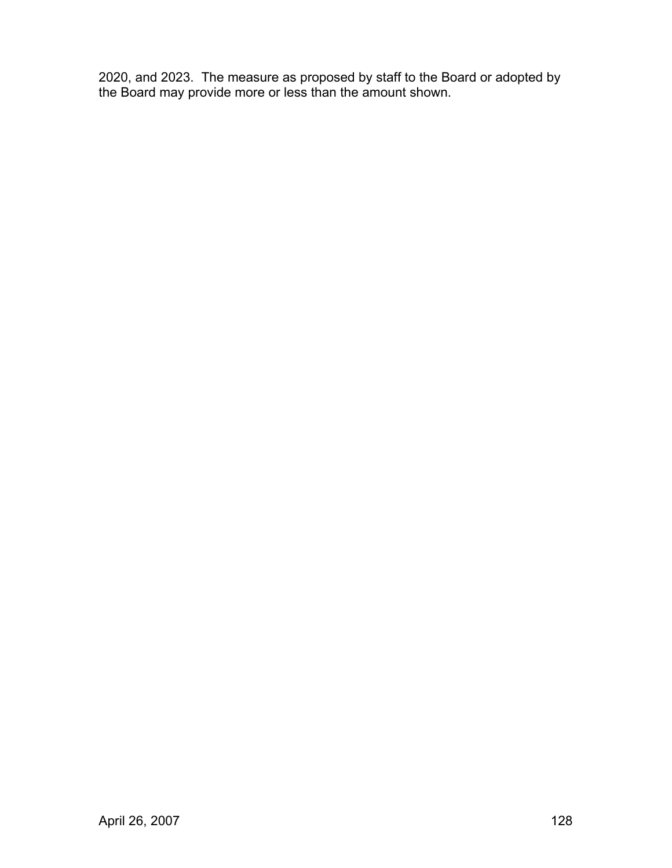2020, and 2023. The measure as proposed by staff to the Board or adopted by the Board may provide more or less than the amount shown.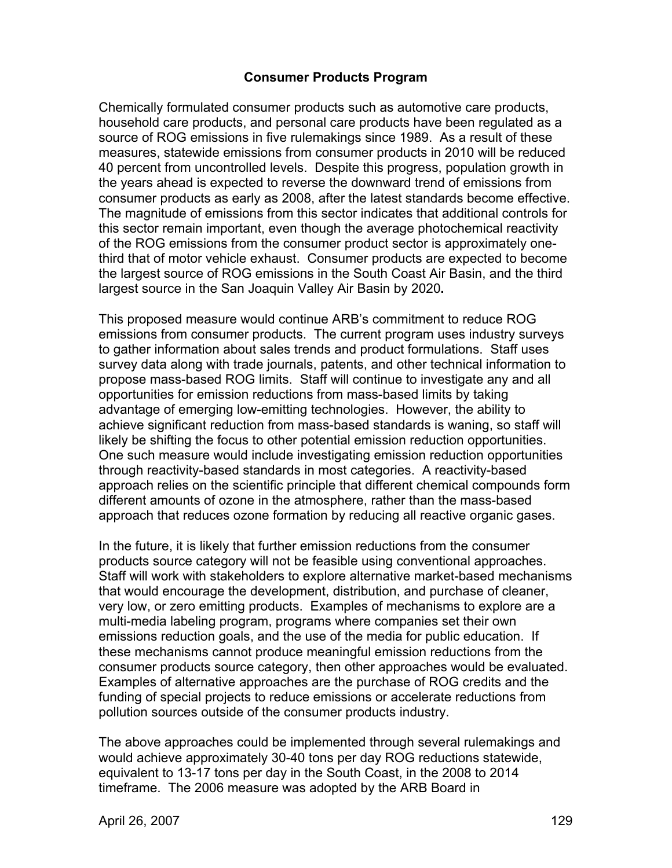### **Consumer Products Program**

Chemically formulated consumer products such as automotive care products, household care products, and personal care products have been regulated as a source of ROG emissions in five rulemakings since 1989. As a result of these measures, statewide emissions from consumer products in 2010 will be reduced 40 percent from uncontrolled levels. Despite this progress, population growth in the years ahead is expected to reverse the downward trend of emissions from consumer products as early as 2008, after the latest standards become effective. The magnitude of emissions from this sector indicates that additional controls for this sector remain important, even though the average photochemical reactivity of the ROG emissions from the consumer product sector is approximately onethird that of motor vehicle exhaust. Consumer products are expected to become the largest source of ROG emissions in the South Coast Air Basin, and the third largest source in the San Joaquin Valley Air Basin by 2020**.** 

This proposed measure would continue ARB's commitment to reduce ROG emissions from consumer products. The current program uses industry surveys to gather information about sales trends and product formulations. Staff uses survey data along with trade journals, patents, and other technical information to propose mass-based ROG limits. Staff will continue to investigate any and all opportunities for emission reductions from mass-based limits by taking advantage of emerging low-emitting technologies. However, the ability to achieve significant reduction from mass-based standards is waning, so staff will likely be shifting the focus to other potential emission reduction opportunities. One such measure would include investigating emission reduction opportunities through reactivity-based standards in most categories. A reactivity-based approach relies on the scientific principle that different chemical compounds form different amounts of ozone in the atmosphere, rather than the mass-based approach that reduces ozone formation by reducing all reactive organic gases.

In the future, it is likely that further emission reductions from the consumer products source category will not be feasible using conventional approaches. Staff will work with stakeholders to explore alternative market-based mechanisms that would encourage the development, distribution, and purchase of cleaner, very low, or zero emitting products. Examples of mechanisms to explore are a multi-media labeling program, programs where companies set their own emissions reduction goals, and the use of the media for public education. If these mechanisms cannot produce meaningful emission reductions from the consumer products source category, then other approaches would be evaluated. Examples of alternative approaches are the purchase of ROG credits and the funding of special projects to reduce emissions or accelerate reductions from pollution sources outside of the consumer products industry.

The above approaches could be implemented through several rulemakings and would achieve approximately 30-40 tons per day ROG reductions statewide, equivalent to 13-17 tons per day in the South Coast, in the 2008 to 2014 timeframe. The 2006 measure was adopted by the ARB Board in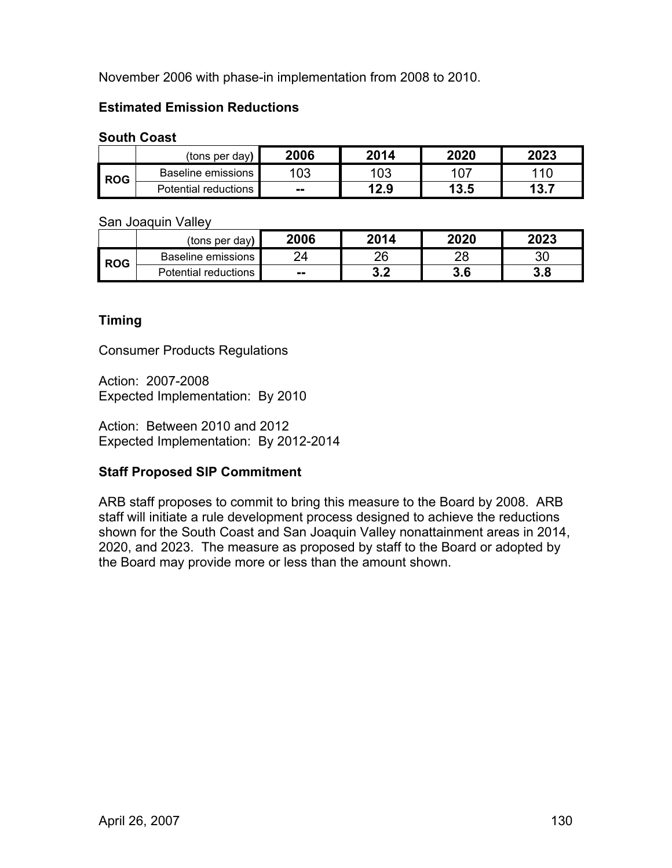November 2006 with phase-in implementation from 2008 to 2010.

## **Estimated Emission Reductions**

### **South Coast**

|     | (tons per day)       | 2006          | 2014 | 2020 | 2023 |
|-----|----------------------|---------------|------|------|------|
| ROG | Baseline emissions   | 103           | 103  | 107  |      |
|     | Potential reductions | $\sim$ $\sim$ | 12.9 | 13.5 | 13.7 |

San Joaquin Valley

|            | (tons per day)       | 2006          | 2014      | 2020 | 2023 |
|------------|----------------------|---------------|-----------|------|------|
| <b>ROG</b> | Baseline emissions   | νд            | 26        | 28   | 30   |
|            | Potential reductions | $\sim$ $\sim$ | ົາ<br>J.Z | 3.6  | 3.8  |

## **Timing**

Consumer Products Regulations

Action: 2007-2008 Expected Implementation: By 2010

Action: Between 2010 and 2012 Expected Implementation: By 2012-2014

## **Staff Proposed SIP Commitment**

ARB staff proposes to commit to bring this measure to the Board by 2008. ARB staff will initiate a rule development process designed to achieve the reductions shown for the South Coast and San Joaquin Valley nonattainment areas in 2014, 2020, and 2023. The measure as proposed by staff to the Board or adopted by the Board may provide more or less than the amount shown.